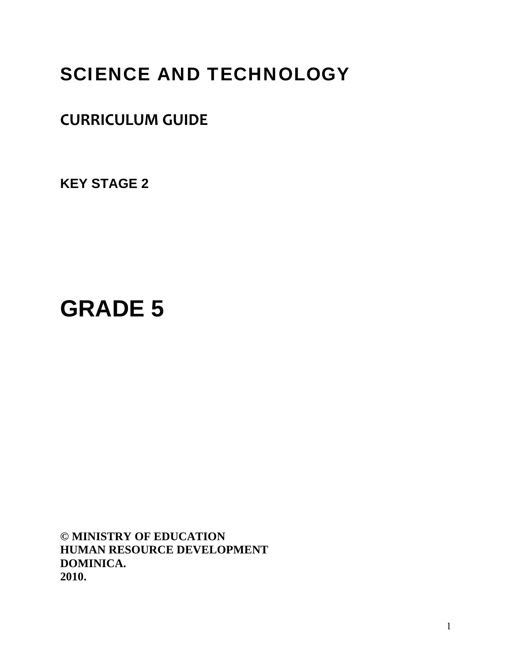# SCIENCE AND TECHNOLOGY

# **CURRICULUM GUIDE**

**KEY STAGE 2** 

# **GRADE 5**

**© MINISTRY OF EDUCATION HUMAN RESOURCE DEVELOPMENT DOMINICA. 2010.**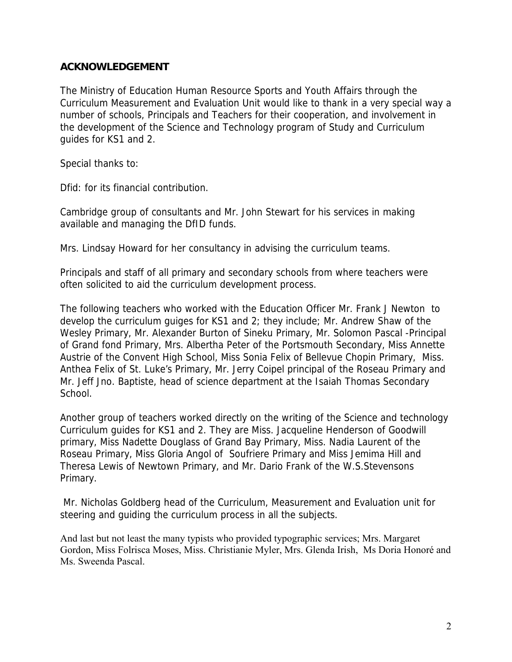# **ACKNOWLEDGEMENT**

The Ministry of Education Human Resource Sports and Youth Affairs through the Curriculum Measurement and Evaluation Unit would like to thank in a very special way a number of schools, Principals and Teachers for their cooperation, and involvement in the development of the Science and Technology program of Study and Curriculum guides for KS1 and 2.

Special thanks to:

Dfid: for its financial contribution.

Cambridge group of consultants and Mr. John Stewart for his services in making available and managing the DfID funds.

Mrs. Lindsay Howard for her consultancy in advising the curriculum teams.

Principals and staff of all primary and secondary schools from where teachers were often solicited to aid the curriculum development process.

The following teachers who worked with the Education Officer Mr. Frank J Newton to develop the curriculum guiges for KS1 and 2; they include; Mr. Andrew Shaw of the Wesley Primary, Mr. Alexander Burton of Sineku Primary, Mr. Solomon Pascal -Principal of Grand fond Primary, Mrs. Albertha Peter of the Portsmouth Secondary, Miss Annette Austrie of the Convent High School, Miss Sonia Felix of Bellevue Chopin Primary, Miss. Anthea Felix of St. Luke's Primary, Mr. Jerry Coipel principal of the Roseau Primary and Mr. Jeff Jno. Baptiste, head of science department at the Isaiah Thomas Secondary School.

Another group of teachers worked directly on the writing of the Science and technology Curriculum guides for KS1 and 2. They are Miss. Jacqueline Henderson of Goodwill primary, Miss Nadette Douglass of Grand Bay Primary, Miss. Nadia Laurent of the Roseau Primary, Miss Gloria Angol of Soufriere Primary and Miss Jemima Hill and Theresa Lewis of Newtown Primary, and Mr. Dario Frank of the W.S.Stevensons Primary.

 Mr. Nicholas Goldberg head of the Curriculum, Measurement and Evaluation unit for steering and guiding the curriculum process in all the subjects.

And last but not least the many typists who provided typographic services; Mrs. Margaret Gordon, Miss Folrisca Moses, Miss. Christianie Myler, Mrs. Glenda Irish, Ms Doria Honoré and Ms. Sweenda Pascal.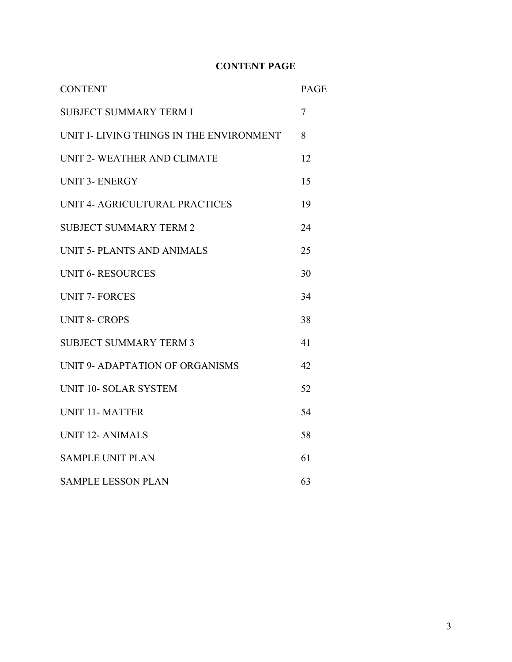# **CONTENT PAGE**

| <b>CONTENT</b>                           | PAGE |
|------------------------------------------|------|
| <b>SUBJECT SUMMARY TERM I</b>            | 7    |
| UNIT I- LIVING THINGS IN THE ENVIRONMENT | 8    |
| UNIT 2- WEATHER AND CLIMATE              | 12   |
| <b>UNIT 3- ENERGY</b>                    | 15   |
| UNIT 4- AGRICULTURAL PRACTICES           | 19   |
| <b>SUBJECT SUMMARY TERM 2</b>            | 24   |
| UNIT 5- PLANTS AND ANIMALS               | 25   |
| <b>UNIT 6- RESOURCES</b>                 | 30   |
| <b>UNIT 7- FORCES</b>                    | 34   |
| <b>UNIT 8- CROPS</b>                     | 38   |
| <b>SUBJECT SUMMARY TERM 3</b>            | 41   |
| UNIT 9- ADAPTATION OF ORGANISMS          | 42   |
| UNIT 10- SOLAR SYSTEM                    | 52   |
| <b>UNIT 11- MATTER</b>                   | 54   |
| <b>UNIT 12- ANIMALS</b>                  | 58   |
| <b>SAMPLE UNIT PLAN</b>                  | 61   |
| <b>SAMPLE LESSON PLAN</b>                | 63   |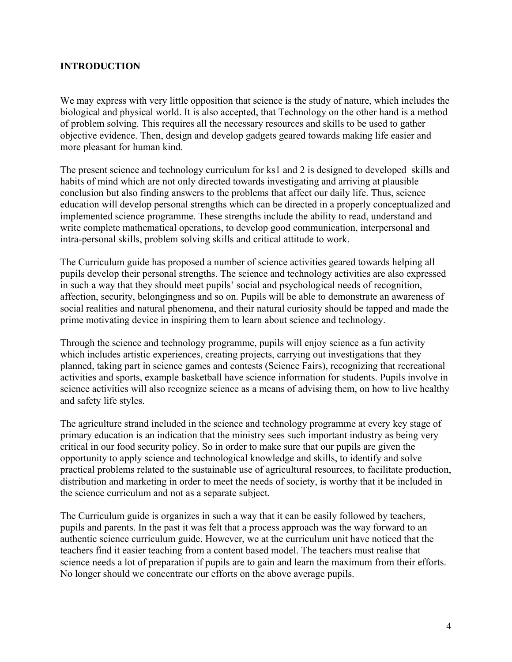# **INTRODUCTION**

We may express with very little opposition that science is the study of nature, which includes the biological and physical world. It is also accepted, that Technology on the other hand is a method of problem solving. This requires all the necessary resources and skills to be used to gather objective evidence. Then, design and develop gadgets geared towards making life easier and more pleasant for human kind.

The present science and technology curriculum for ks1 and 2 is designed to developed skills and habits of mind which are not only directed towards investigating and arriving at plausible conclusion but also finding answers to the problems that affect our daily life. Thus, science education will develop personal strengths which can be directed in a properly conceptualized and implemented science programme. These strengths include the ability to read, understand and write complete mathematical operations, to develop good communication, interpersonal and intra-personal skills, problem solving skills and critical attitude to work.

The Curriculum guide has proposed a number of science activities geared towards helping all pupils develop their personal strengths. The science and technology activities are also expressed in such a way that they should meet pupils' social and psychological needs of recognition, affection, security, belongingness and so on. Pupils will be able to demonstrate an awareness of social realities and natural phenomena, and their natural curiosity should be tapped and made the prime motivating device in inspiring them to learn about science and technology.

Through the science and technology programme, pupils will enjoy science as a fun activity which includes artistic experiences, creating projects, carrying out investigations that they planned, taking part in science games and contests (Science Fairs), recognizing that recreational activities and sports, example basketball have science information for students. Pupils involve in science activities will also recognize science as a means of advising them, on how to live healthy and safety life styles.

The agriculture strand included in the science and technology programme at every key stage of primary education is an indication that the ministry sees such important industry as being very critical in our food security policy. So in order to make sure that our pupils are given the opportunity to apply science and technological knowledge and skills, to identify and solve practical problems related to the sustainable use of agricultural resources, to facilitate production, distribution and marketing in order to meet the needs of society, is worthy that it be included in the science curriculum and not as a separate subject.

The Curriculum guide is organizes in such a way that it can be easily followed by teachers, pupils and parents. In the past it was felt that a process approach was the way forward to an authentic science curriculum guide. However, we at the curriculum unit have noticed that the teachers find it easier teaching from a content based model. The teachers must realise that science needs a lot of preparation if pupils are to gain and learn the maximum from their efforts. No longer should we concentrate our efforts on the above average pupils.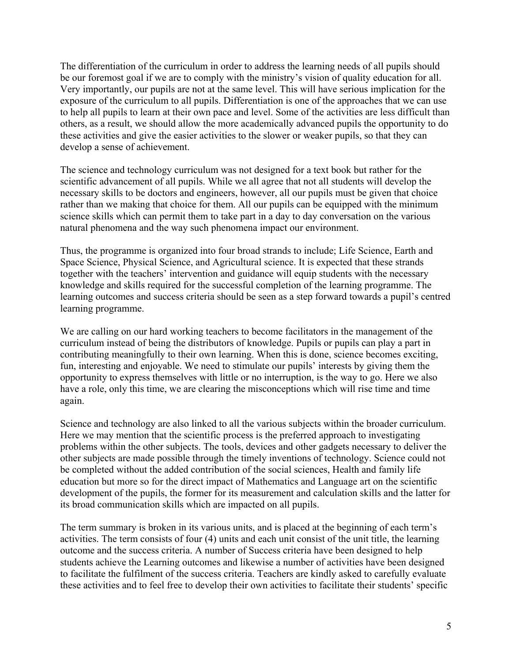The differentiation of the curriculum in order to address the learning needs of all pupils should be our foremost goal if we are to comply with the ministry's vision of quality education for all. Very importantly, our pupils are not at the same level. This will have serious implication for the exposure of the curriculum to all pupils. Differentiation is one of the approaches that we can use to help all pupils to learn at their own pace and level. Some of the activities are less difficult than others, as a result, we should allow the more academically advanced pupils the opportunity to do these activities and give the easier activities to the slower or weaker pupils, so that they can develop a sense of achievement.

The science and technology curriculum was not designed for a text book but rather for the scientific advancement of all pupils. While we all agree that not all students will develop the necessary skills to be doctors and engineers, however, all our pupils must be given that choice rather than we making that choice for them. All our pupils can be equipped with the minimum science skills which can permit them to take part in a day to day conversation on the various natural phenomena and the way such phenomena impact our environment.

Thus, the programme is organized into four broad strands to include; Life Science, Earth and Space Science, Physical Science, and Agricultural science. It is expected that these strands together with the teachers' intervention and guidance will equip students with the necessary knowledge and skills required for the successful completion of the learning programme. The learning outcomes and success criteria should be seen as a step forward towards a pupil's centred learning programme.

We are calling on our hard working teachers to become facilitators in the management of the curriculum instead of being the distributors of knowledge. Pupils or pupils can play a part in contributing meaningfully to their own learning. When this is done, science becomes exciting, fun, interesting and enjoyable. We need to stimulate our pupils' interests by giving them the opportunity to express themselves with little or no interruption, is the way to go. Here we also have a role, only this time, we are clearing the misconceptions which will rise time and time again.

Science and technology are also linked to all the various subjects within the broader curriculum. Here we may mention that the scientific process is the preferred approach to investigating problems within the other subjects. The tools, devices and other gadgets necessary to deliver the other subjects are made possible through the timely inventions of technology. Science could not be completed without the added contribution of the social sciences, Health and family life education but more so for the direct impact of Mathematics and Language art on the scientific development of the pupils, the former for its measurement and calculation skills and the latter for its broad communication skills which are impacted on all pupils.

The term summary is broken in its various units, and is placed at the beginning of each term's activities. The term consists of four (4) units and each unit consist of the unit title, the learning outcome and the success criteria. A number of Success criteria have been designed to help students achieve the Learning outcomes and likewise a number of activities have been designed to facilitate the fulfilment of the success criteria. Teachers are kindly asked to carefully evaluate these activities and to feel free to develop their own activities to facilitate their students' specific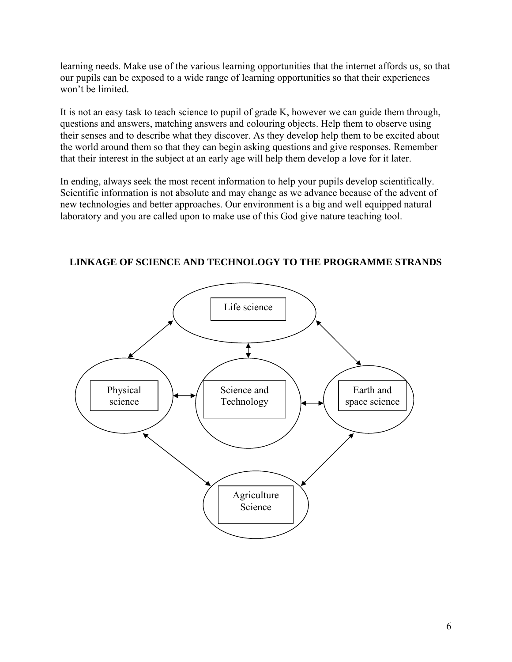learning needs. Make use of the various learning opportunities that the internet affords us, so that our pupils can be exposed to a wide range of learning opportunities so that their experiences won't be limited.

It is not an easy task to teach science to pupil of grade K, however we can guide them through, questions and answers, matching answers and colouring objects. Help them to observe using their senses and to describe what they discover. As they develop help them to be excited about the world around them so that they can begin asking questions and give responses. Remember that their interest in the subject at an early age will help them develop a love for it later.

In ending, always seek the most recent information to help your pupils develop scientifically. Scientific information is not absolute and may change as we advance because of the advent of new technologies and better approaches. Our environment is a big and well equipped natural laboratory and you are called upon to make use of this God give nature teaching tool.



**LINKAGE OF SCIENCE AND TECHNOLOGY TO THE PROGRAMME STRANDS**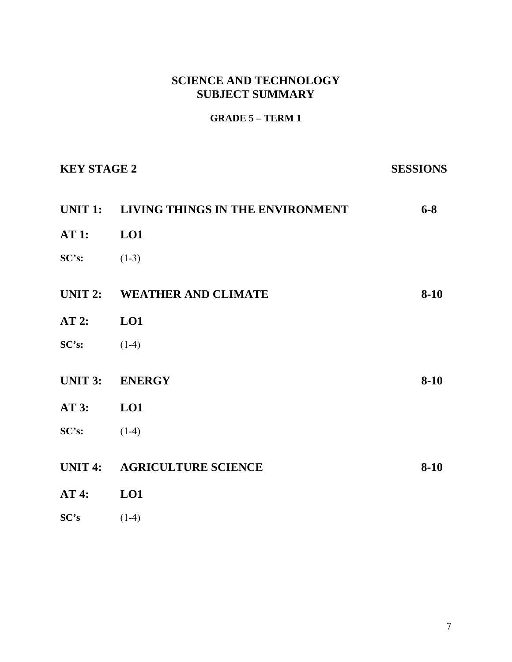# **SCIENCE AND TECHNOLOGY SUBJECT SUMMARY**

# **GRADE 5 – TERM 1**

| <b>KEY STAGE 2</b> |                                          | <b>SESSIONS</b> |
|--------------------|------------------------------------------|-----------------|
|                    | UNIT 1: LIVING THINGS IN THE ENVIRONMENT | $6 - 8$         |
| AT 1: LO1          |                                          |                 |
| SC's:              | $(1-3)$                                  |                 |
|                    | UNIT 2: WEATHER AND CLIMATE              | $8-10$          |
| AT 2: LO1          |                                          |                 |
| SC's:              | $(1-4)$                                  |                 |
|                    | UNIT 3: ENERGY                           | $8-10$          |
| AT 3: LO1          |                                          |                 |
| $SC's:$ (1-4)      |                                          |                 |
|                    | UNIT 4: AGRICULTURE SCIENCE              | $8-10$          |
| AT4:               | LO1                                      |                 |
| SC's               | $(1-4)$                                  |                 |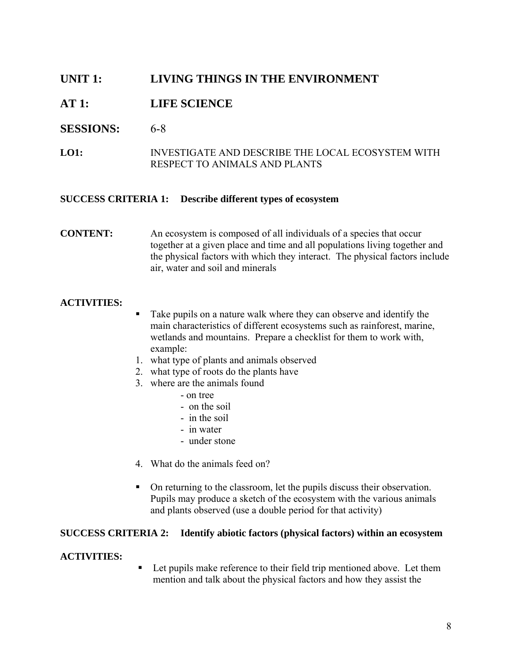# **UNIT 1: LIVING THINGS IN THE ENVIRONMENT**

# **AT 1: LIFE SCIENCE**

# **SESSIONS:** 6-8

**LO1:** INVESTIGATE AND DESCRIBE THE LOCAL ECOSYSTEM WITH RESPECT TO ANIMALS AND PLANTS

# **SUCCESS CRITERIA 1: Describe different types of ecosystem**

# **CONTENT:** An ecosystem is composed of all individuals of a species that occur together at a given place and time and all populations living together and the physical factors with which they interact. The physical factors include air, water and soil and minerals

# **ACTIVITIES:**

- Take pupils on a nature walk where they can observe and identify the main characteristics of different ecosystems such as rainforest, marine, wetlands and mountains. Prepare a checklist for them to work with, example:
- 1. what type of plants and animals observed
- 2. what type of roots do the plants have
- 3. where are the animals found
	- on tree
	- on the soil
	- in the soil
	- in water
	- under stone
- 4. What do the animals feed on?
- On returning to the classroom, let the pupils discuss their observation. Pupils may produce a sketch of the ecosystem with the various animals and plants observed (use a double period for that activity)

# **SUCCESS CRITERIA 2: Identify abiotic factors (physical factors) within an ecosystem**

# **ACTIVITIES:**

■ Let pupils make reference to their field trip mentioned above. Let them mention and talk about the physical factors and how they assist the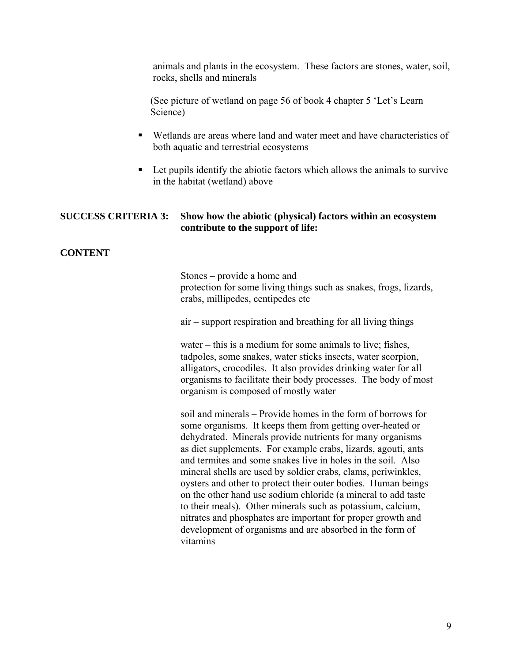animals and plants in the ecosystem. These factors are stones, water, soil, rocks, shells and minerals

(See picture of wetland on page 56 of book 4 chapter 5 'Let's Learn Science)

- Wetlands are areas where land and water meet and have characteristics of both aquatic and terrestrial ecosystems
- Let pupils identify the abiotic factors which allows the animals to survive in the habitat (wetland) above

# **SUCCESS CRITERIA 3: Show how the abiotic (physical) factors within an ecosystem contribute to the support of life:**

# **CONTENT**

Stones – provide a home and protection for some living things such as snakes, frogs, lizards, crabs, millipedes, centipedes etc

air – support respiration and breathing for all living things

 water – this is a medium for some animals to live; fishes, tadpoles, some snakes, water sticks insects, water scorpion, alligators, crocodiles. It also provides drinking water for all organisms to facilitate their body processes. The body of most organism is composed of mostly water

 soil and minerals – Provide homes in the form of borrows for some organisms. It keeps them from getting over-heated or dehydrated. Minerals provide nutrients for many organisms as diet supplements. For example crabs, lizards, agouti, ants and termites and some snakes live in holes in the soil. Also mineral shells are used by soldier crabs, clams, periwinkles, oysters and other to protect their outer bodies. Human beings on the other hand use sodium chloride (a mineral to add taste to their meals). Other minerals such as potassium, calcium, nitrates and phosphates are important for proper growth and development of organisms and are absorbed in the form of vitamins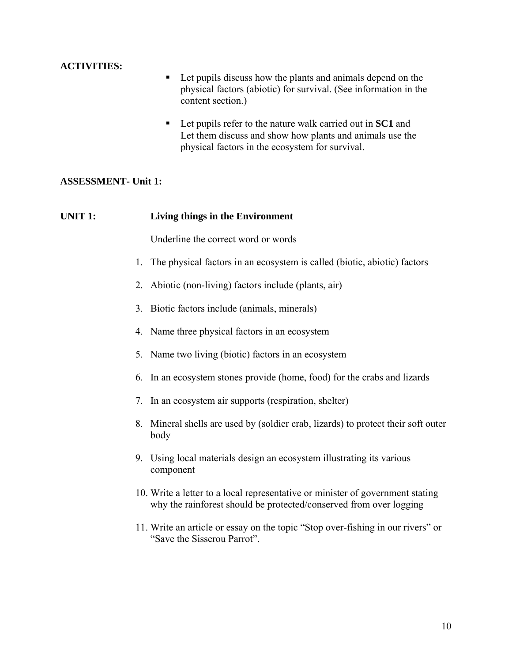# **ACTIVITIES:**

- Let pupils discuss how the plants and animals depend on the physical factors (abiotic) for survival. (See information in the content section.)
- Let pupils refer to the nature walk carried out in **SC1** and Let them discuss and show how plants and animals use the physical factors in the ecosystem for survival.

# **ASSESSMENT- Unit 1:**

# **UNIT 1: Living things in the Environment**

Underline the correct word or words

- 1. The physical factors in an ecosystem is called (biotic, abiotic) factors
- 2. Abiotic (non-living) factors include (plants, air)
- 3. Biotic factors include (animals, minerals)
- 4. Name three physical factors in an ecosystem
- 5. Name two living (biotic) factors in an ecosystem
- 6. In an ecosystem stones provide (home, food) for the crabs and lizards
- 7. In an ecosystem air supports (respiration, shelter)
- 8. Mineral shells are used by (soldier crab, lizards) to protect their soft outer body
- 9. Using local materials design an ecosystem illustrating its various component
- 10. Write a letter to a local representative or minister of government stating why the rainforest should be protected/conserved from over logging
- 11. Write an article or essay on the topic "Stop over-fishing in our rivers" or "Save the Sisserou Parrot".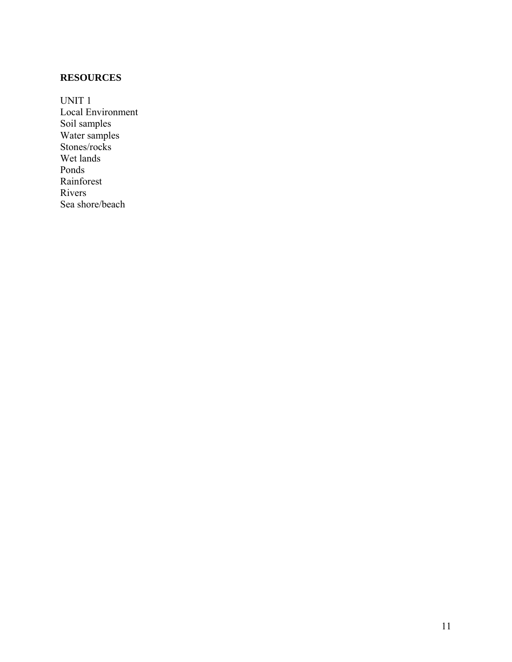# **RESOURCES**

UNIT 1 Local Environment Soil samples Water samples Stones/rocks Wet lands Ponds Rainforest Rivers Sea shore/beach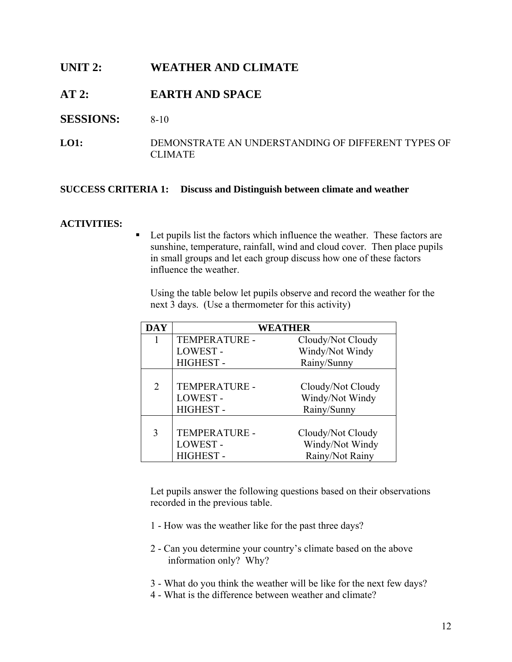# **UNIT 2: WEATHER AND CLIMATE**

# **AT 2: EARTH AND SPACE**

# **SESSIONS:** 8-10

**LO1:** DEMONSTRATE AN UNDERSTANDING OF DIFFERENT TYPES OF CLIMATE

# **SUCCESS CRITERIA 1: Discuss and Distinguish between climate and weather**

#### **ACTIVITIES:**

■ Let pupils list the factors which influence the weather. These factors are sunshine, temperature, rainfall, wind and cloud cover. Then place pupils in small groups and let each group discuss how one of these factors influence the weather.

Using the table below let pupils observe and record the weather for the next 3 days. (Use a thermometer for this activity)

| <b>DAY</b>     | WEATHER         |                   |
|----------------|-----------------|-------------------|
| 1              | TEMPERATURE -   | Cloudy/Not Cloudy |
|                | LOWEST-         | Windy/Not Windy   |
|                | <b>HIGHEST-</b> | Rainy/Sunny       |
|                |                 |                   |
| $\overline{2}$ | TEMPERATURE -   | Cloudy/Not Cloudy |
|                | LOWEST-         | Windy/Not Windy   |
|                | <b>HIGHEST-</b> | Rainy/Sunny       |
|                |                 |                   |
| 3              | TEMPERATURE -   | Cloudy/Not Cloudy |
|                | LOWEST-         | Windy/Not Windy   |
|                | <b>HIGHEST-</b> | Rainy/Not Rainy   |

Let pupils answer the following questions based on their observations recorded in the previous table.

- 1 How was the weather like for the past three days?
- 2 Can you determine your country's climate based on the above information only? Why?
- 3 What do you think the weather will be like for the next few days?
- 4 What is the difference between weather and climate?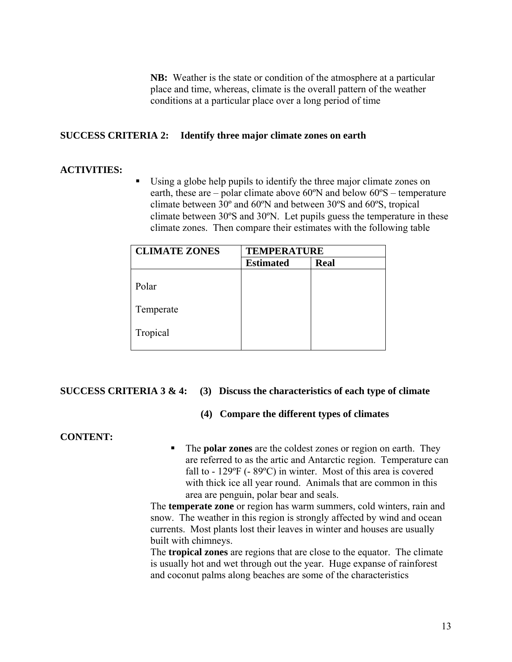**NB:** Weather is the state or condition of the atmosphere at a particular place and time, whereas, climate is the overall pattern of the weather conditions at a particular place over a long period of time

# **SUCCESS CRITERIA 2: Identify three major climate zones on earth**

# **ACTIVITIES:**

 Using a globe help pupils to identify the three major climate zones on earth, these are – polar climate above  $60^{\circ}$ N and below  $60^{\circ}$ S – temperature climate between 30º and 60ºN and between 30ºS and 60ºS, tropical climate between 30ºS and 30ºN. Let pupils guess the temperature in these climate zones. Then compare their estimates with the following table

| <b>CLIMATE ZONES</b> | <b>TEMPERATURE</b> |             |
|----------------------|--------------------|-------------|
|                      | <b>Estimated</b>   | <b>Real</b> |
| Polar                |                    |             |
| Temperate            |                    |             |
| Tropical             |                    |             |

# **SUCCESS CRITERIA 3 & 4: (3) Discuss the characteristics of each type of climate**

# **(4) Compare the different types of climates**

# **CONTENT:**

 The **polar zones** are the coldest zones or region on earth. They are referred to as the artic and Antarctic region. Temperature can fall to - 129<sup>o</sup>F (- 89<sup>o</sup>C) in winter. Most of this area is covered with thick ice all year round. Animals that are common in this area are penguin, polar bear and seals.

The **temperate zone** or region has warm summers, cold winters, rain and snow. The weather in this region is strongly affected by wind and ocean currents. Most plants lost their leaves in winter and houses are usually built with chimneys.

The **tropical zones** are regions that are close to the equator. The climate is usually hot and wet through out the year. Huge expanse of rainforest and coconut palms along beaches are some of the characteristics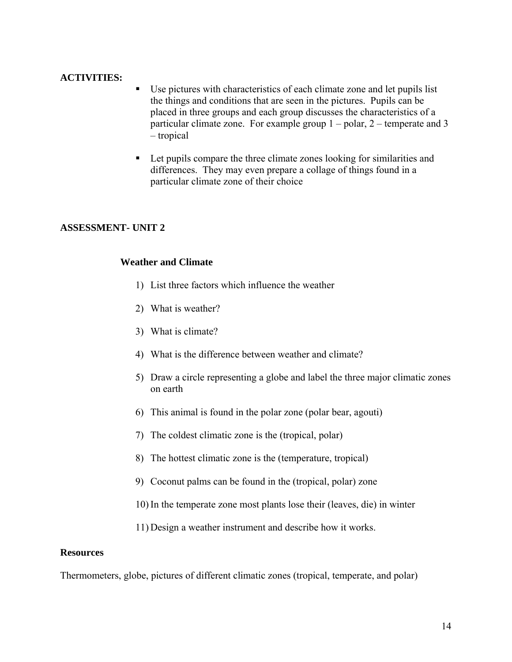# **ACTIVITIES:**

- Use pictures with characteristics of each climate zone and let pupils list the things and conditions that are seen in the pictures. Pupils can be placed in three groups and each group discusses the characteristics of a particular climate zone. For example group 1 – polar, 2 – temperate and 3 – tropical
- Let pupils compare the three climate zones looking for similarities and differences. They may even prepare a collage of things found in a particular climate zone of their choice

# **ASSESSMENT- UNIT 2**

# **Weather and Climate**

- 1) List three factors which influence the weather
- 2) What is weather?
- 3) What is climate?
- 4) What is the difference between weather and climate?
- 5) Draw a circle representing a globe and label the three major climatic zones on earth
- 6) This animal is found in the polar zone (polar bear, agouti)
- 7) The coldest climatic zone is the (tropical, polar)
- 8) The hottest climatic zone is the (temperature, tropical)
- 9) Coconut palms can be found in the (tropical, polar) zone
- 10) In the temperate zone most plants lose their (leaves, die) in winter
- 11) Design a weather instrument and describe how it works.

#### **Resources**

Thermometers, globe, pictures of different climatic zones (tropical, temperate, and polar)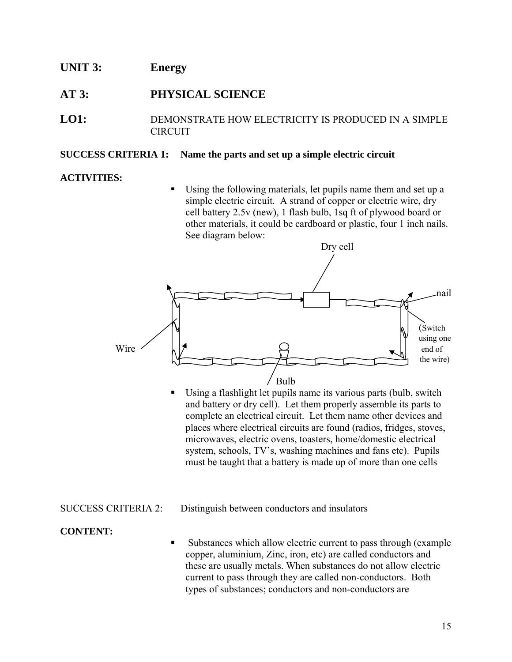# **UNIT 3: Energy**

# **AT 3: PHYSICAL SCIENCE**

**LO1:** DEMONSTRATE HOW ELECTRICITY IS PRODUCED IN A SIMPLE CIRCUIT

#### **SUCCESS CRITERIA 1: Name the parts and set up a simple electric circuit**

# **ACTIVITIES:**

 Using the following materials, let pupils name them and set up a simple electric circuit. A strand of copper or electric wire, dry cell battery 2.5v (new), 1 flash bulb, 1sq ft of plywood board or other materials, it could be cardboard or plastic, four 1 inch nails. See diagram below:



 Using a flashlight let pupils name its various parts (bulb, switch and battery or dry cell). Let them properly assemble its parts to complete an electrical circuit. Let them name other devices and places where electrical circuits are found (radios, fridges, stoves, microwaves, electric ovens, toasters, home/domestic electrical system, schools, TV's, washing machines and fans etc). Pupils must be taught that a battery is made up of more than one cells

# SUCCESS CRITERIA 2: Distinguish between conductors and insulators

# **CONTENT:**

 Substances which allow electric current to pass through (example copper, aluminium, Zinc, iron, etc) are called conductors and these are usually metals. When substances do not allow electric current to pass through they are called non-conductors. Both types of substances; conductors and non-conductors are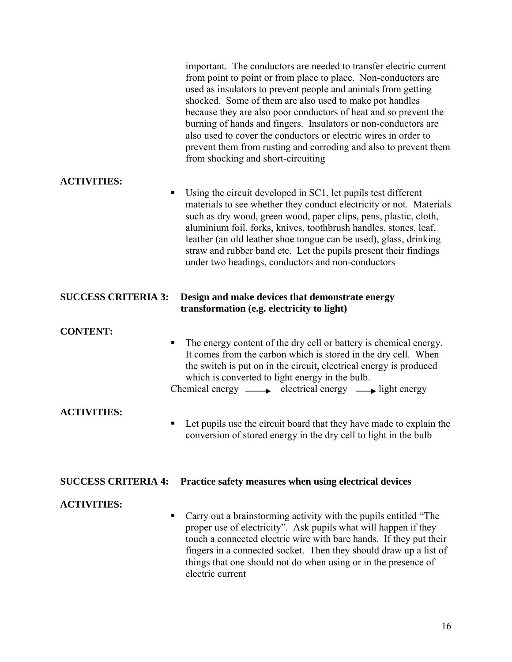|                            | important. The conductors are needed to transfer electric current<br>from point to point or from place to place. Non-conductors are<br>used as insulators to prevent people and animals from getting<br>shocked. Some of them are also used to make pot handles<br>because they are also poor conductors of heat and so prevent the<br>burning of hands and fingers. Insulators or non-conductors are<br>also used to cover the conductors or electric wires in order to<br>prevent them from rusting and corroding and also to prevent them<br>from shocking and short-circuiting |
|----------------------------|------------------------------------------------------------------------------------------------------------------------------------------------------------------------------------------------------------------------------------------------------------------------------------------------------------------------------------------------------------------------------------------------------------------------------------------------------------------------------------------------------------------------------------------------------------------------------------|
| <b>ACTIVITIES:</b>         |                                                                                                                                                                                                                                                                                                                                                                                                                                                                                                                                                                                    |
| п                          | Using the circuit developed in SC1, let pupils test different<br>materials to see whether they conduct electricity or not. Materials<br>such as dry wood, green wood, paper clips, pens, plastic, cloth,<br>aluminium foil, forks, knives, toothbrush handles, stones, leaf,<br>leather (an old leather shoe tongue can be used), glass, drinking<br>straw and rubber band etc. Let the pupils present their findings<br>under two headings, conductors and non-conductors                                                                                                         |
| <b>SUCCESS CRITERIA 3:</b> | Design and make devices that demonstrate energy<br>transformation (e.g. electricity to light)                                                                                                                                                                                                                                                                                                                                                                                                                                                                                      |
| <b>CONTENT:</b>            |                                                                                                                                                                                                                                                                                                                                                                                                                                                                                                                                                                                    |
| п                          | The energy content of the dry cell or battery is chemical energy.<br>It comes from the carbon which is stored in the dry cell. When<br>the switch is put on in the circuit, electrical energy is produced<br>which is converted to light energy in the bulb.<br>Chemical energy $\longrightarrow$ electrical energy $\longrightarrow$ light energy                                                                                                                                                                                                                                 |
| <b>ACTIVITIES:</b>         |                                                                                                                                                                                                                                                                                                                                                                                                                                                                                                                                                                                    |
| п                          | Let pupils use the circuit board that they have made to explain the<br>conversion of stored energy in the dry cell to light in the bulb                                                                                                                                                                                                                                                                                                                                                                                                                                            |
| <b>SUCCESS CRITERIA 4:</b> | Practice safety measures when using electrical devices                                                                                                                                                                                                                                                                                                                                                                                                                                                                                                                             |
| <b>ACTIVITIES:</b><br>п    | Carry out a brainstorming activity with the pupils entitled "The<br>proper use of electricity". Ask pupils what will happen if they<br>touch a connected electric wire with bare hands. If they put their<br>fingers in a connected socket. Then they should draw up a list of<br>things that one should not do when using or in the presence of<br>electric current                                                                                                                                                                                                               |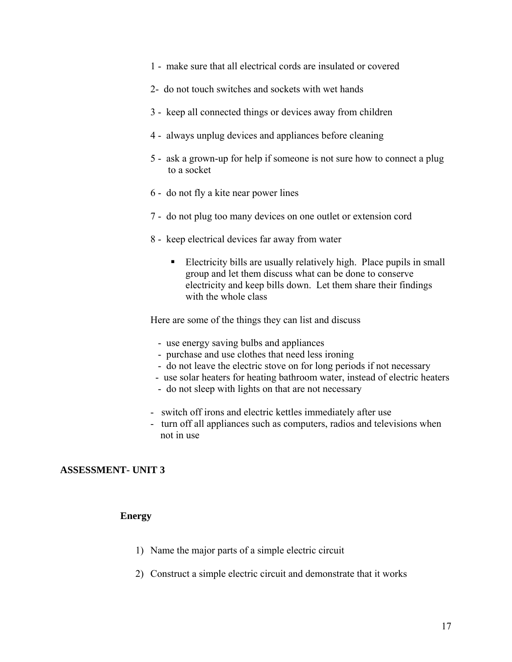- 1 make sure that all electrical cords are insulated or covered
- 2- do not touch switches and sockets with wet hands
- 3 keep all connected things or devices away from children
- 4 always unplug devices and appliances before cleaning
- 5 ask a grown-up for help if someone is not sure how to connect a plug to a socket
- 6 do not fly a kite near power lines
- 7 do not plug too many devices on one outlet or extension cord
- 8 keep electrical devices far away from water
	- Electricity bills are usually relatively high. Place pupils in small group and let them discuss what can be done to conserve electricity and keep bills down. Let them share their findings with the whole class

Here are some of the things they can list and discuss

- use energy saving bulbs and appliances
- purchase and use clothes that need less ironing
- do not leave the electric stove on for long periods if not necessary
- use solar heaters for heating bathroom water, instead of electric heaters
- do not sleep with lights on that are not necessary
- switch off irons and electric kettles immediately after use
- turn off all appliances such as computers, radios and televisions when not in use

# **ASSESSMENT- UNIT 3**

#### **Energy**

- 1) Name the major parts of a simple electric circuit
- 2) Construct a simple electric circuit and demonstrate that it works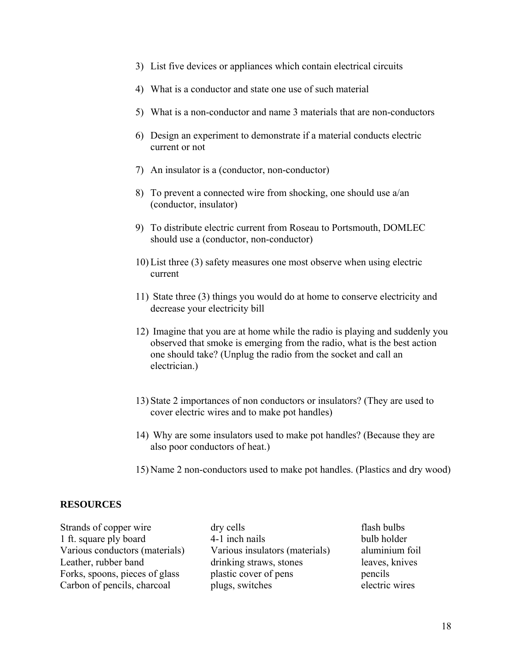- 3) List five devices or appliances which contain electrical circuits
- 4) What is a conductor and state one use of such material
- 5) What is a non-conductor and name 3 materials that are non-conductors
- 6) Design an experiment to demonstrate if a material conducts electric current or not
- 7) An insulator is a (conductor, non-conductor)
- 8) To prevent a connected wire from shocking, one should use a/an (conductor, insulator)
- 9) To distribute electric current from Roseau to Portsmouth, DOMLEC should use a (conductor, non-conductor)
- 10) List three (3) safety measures one most observe when using electric current
- 11) State three (3) things you would do at home to conserve electricity and decrease your electricity bill
- 12) Imagine that you are at home while the radio is playing and suddenly you observed that smoke is emerging from the radio, what is the best action one should take? (Unplug the radio from the socket and call an electrician.)
- 13) State 2 importances of non conductors or insulators? (They are used to cover electric wires and to make pot handles)
- 14) Why are some insulators used to make pot handles? (Because they are also poor conductors of heat.)
- 15) Name 2 non-conductors used to make pot handles. (Plastics and dry wood)

# **RESOURCES**

| Strands of copper wire         | dry cells                      | flash bulbs  |
|--------------------------------|--------------------------------|--------------|
| 1 ft. square ply board         | 4-1 inch nails                 | bulb holder  |
| Various conductors (materials) | Various insulators (materials) | aluminium    |
| Leather, rubber band           | drinking straws, stones        | leaves, kniv |
| Forks, spoons, pieces of glass | plastic cover of pens          | pencils      |
| Carbon of pencils, charcoal    | plugs, switches                | electric wir |

4-1 inch nails bulb holder Various insulators (materials) aluminium foil drinking straws, stones leaves, knives plastic cover of pens pencils plugs, switches electric wires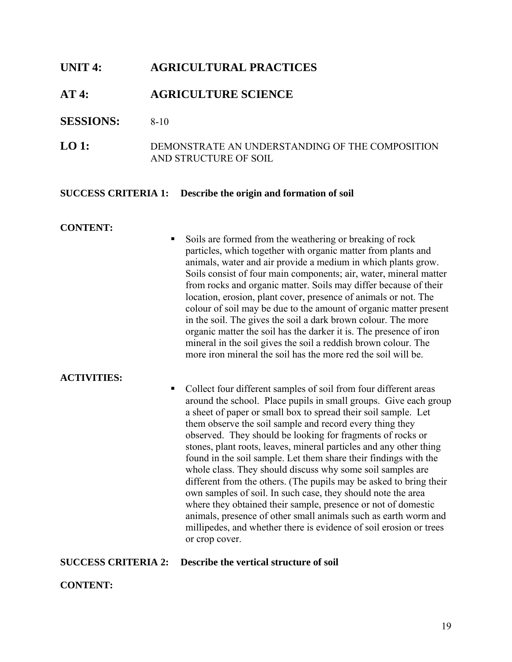# **UNIT 4: AGRICULTURAL PRACTICES**

# **AT 4: AGRICULTURE SCIENCE**

# **SESSIONS:** 8-10

**LO 1:** DEMONSTRATE AN UNDERSTANDING OF THE COMPOSITION AND STRUCTURE OF SOIL

#### **SUCCESS CRITERIA 1: Describe the origin and formation of soil**

#### **CONTENT:**

Soils are formed from the weathering or breaking of rock particles, which together with organic matter from plants and animals, water and air provide a medium in which plants grow. Soils consist of four main components; air, water, mineral matter from rocks and organic matter. Soils may differ because of their location, erosion, plant cover, presence of animals or not. The colour of soil may be due to the amount of organic matter present in the soil. The gives the soil a dark brown colour. The more organic matter the soil has the darker it is. The presence of iron mineral in the soil gives the soil a reddish brown colour. The more iron mineral the soil has the more red the soil will be.

# **ACTIVITIES:**

• Collect four different samples of soil from four different areas around the school. Place pupils in small groups. Give each group a sheet of paper or small box to spread their soil sample. Let them observe the soil sample and record every thing they observed. They should be looking for fragments of rocks or stones, plant roots, leaves, mineral particles and any other thing found in the soil sample. Let them share their findings with the whole class. They should discuss why some soil samples are different from the others. (The pupils may be asked to bring their own samples of soil. In such case, they should note the area where they obtained their sample, presence or not of domestic animals, presence of other small animals such as earth worm and millipedes, and whether there is evidence of soil erosion or trees or crop cover.

# **SUCCESS CRITERIA 2: Describe the vertical structure of soil**

# **CONTENT:**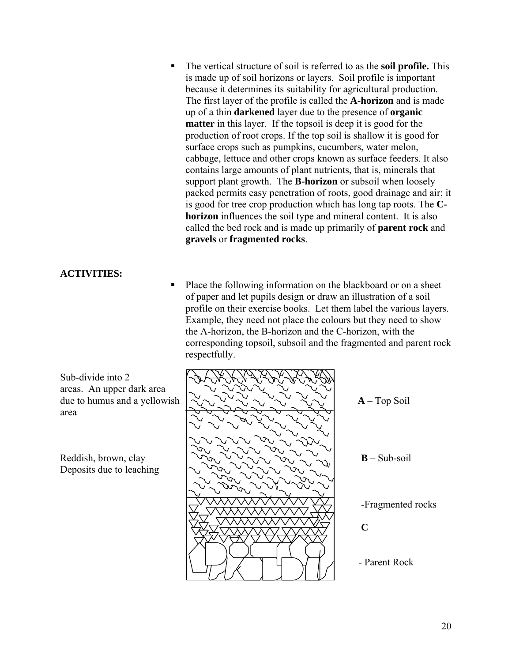The vertical structure of soil is referred to as the **soil profile.** This is made up of soil horizons or layers. Soil profile is important because it determines its suitability for agricultural production. The first layer of the profile is called the **A-horizon** and is made up of a thin **darkened** layer due to the presence of **organic matter** in this layer. If the topsoil is deep it is good for the production of root crops. If the top soil is shallow it is good for surface crops such as pumpkins, cucumbers, water melon, cabbage, lettuce and other crops known as surface feeders. It also contains large amounts of plant nutrients, that is, minerals that support plant growth. The **B-horizon** or subsoil when loosely packed permits easy penetration of roots, good drainage and air; it is good for tree crop production which has long tap roots. The **Chorizon** influences the soil type and mineral content. It is also called the bed rock and is made up primarily of **parent rock** and **gravels** or **fragmented rocks**.

# **ACTIVITIES:**

 Place the following information on the blackboard or on a sheet of paper and let pupils design or draw an illustration of a soil profile on their exercise books. Let them label the various layers. Example, they need not place the colours but they need to show the A-horizon, the B-horizon and the C-horizon, with the corresponding topsoil, subsoil and the fragmented and parent rock respectfully.

Sub-divide into 2 areas. An upper dark area area

Deposits due to leaching

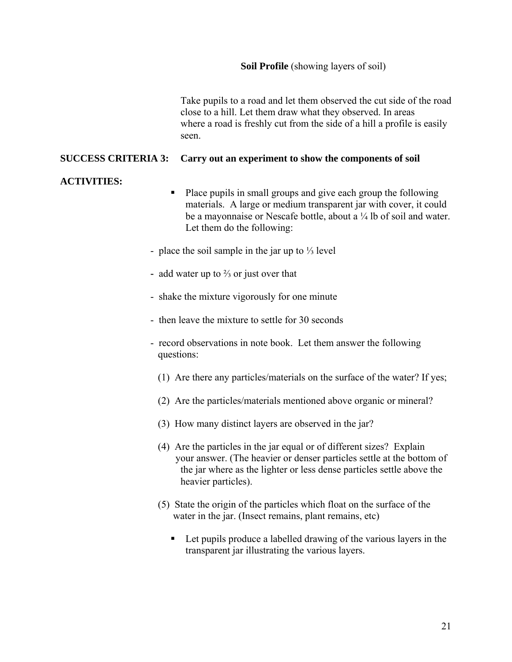Take pupils to a road and let them observed the cut side of the road close to a hill. Let them draw what they observed. In areas where a road is freshly cut from the side of a hill a profile is easily seen.

# **SUCCESS CRITERIA 3: Carry out an experiment to show the components of soil**

# **ACTIVITIES:**

- Place pupils in small groups and give each group the following materials. A large or medium transparent jar with cover, it could be a mayonnaise or Nescafe bottle, about a <sup>1</sup>/<sub>4</sub> lb of soil and water. Let them do the following:
- place the soil sample in the jar up to ⅓ level
- add water up to ⅔ or just over that
- shake the mixture vigorously for one minute
- then leave the mixture to settle for 30 seconds
- record observations in note book. Let them answer the following questions:
	- (1) Are there any particles/materials on the surface of the water? If yes;
	- (2) Are the particles/materials mentioned above organic or mineral?
	- (3) How many distinct layers are observed in the jar?
	- (4) Are the particles in the jar equal or of different sizes? Explain your answer. (The heavier or denser particles settle at the bottom of the jar where as the lighter or less dense particles settle above the heavier particles).
	- (5) State the origin of the particles which float on the surface of the water in the jar. (Insect remains, plant remains, etc)
		- Let pupils produce a labelled drawing of the various layers in the transparent jar illustrating the various layers.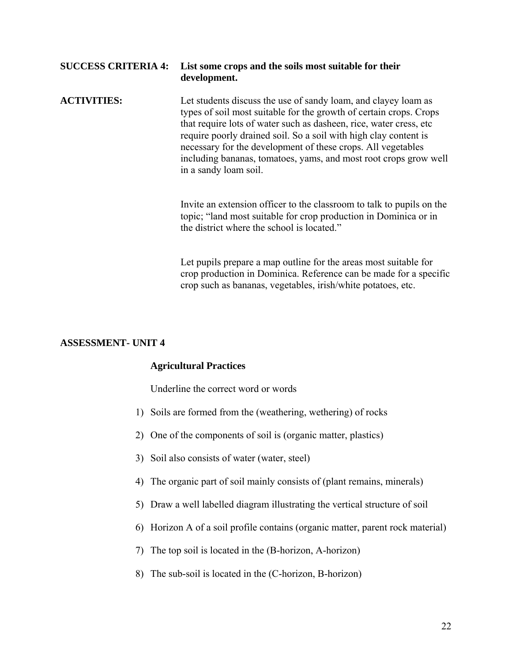| <b>SUCCESS CRITERIA 4:</b> | List some crops and the soils most suitable for their<br>development.                                                                                                                                                                                                                                                                                                                                                                        |
|----------------------------|----------------------------------------------------------------------------------------------------------------------------------------------------------------------------------------------------------------------------------------------------------------------------------------------------------------------------------------------------------------------------------------------------------------------------------------------|
| <b>ACTIVITIES:</b>         | Let students discuss the use of sandy loam, and clayey loam as<br>types of soil most suitable for the growth of certain crops. Crops<br>that require lots of water such as dasheen, rice, water cress, etc.<br>require poorly drained soil. So a soil with high clay content is<br>necessary for the development of these crops. All vegetables<br>including bananas, tomatoes, yams, and most root crops grow well<br>in a sandy loam soil. |
|                            | Invite an extension officer to the classroom to talk to pupils on the<br>topic; "land most suitable for crop production in Dominica or in<br>the district where the school is located."                                                                                                                                                                                                                                                      |
|                            | Let pupils prepare a map outline for the areas most suitable for<br>crop production in Dominica. Reference can be made for a specific                                                                                                                                                                                                                                                                                                        |

# **ASSESSMENT- UNIT 4**

# **Agricultural Practices**

Underline the correct word or words

- 1) Soils are formed from the (weathering, wethering) of rocks
- 2) One of the components of soil is (organic matter, plastics)
- 3) Soil also consists of water (water, steel)
- 4) The organic part of soil mainly consists of (plant remains, minerals)
- 5) Draw a well labelled diagram illustrating the vertical structure of soil
- 6) Horizon A of a soil profile contains (organic matter, parent rock material)

crop such as bananas, vegetables, irish/white potatoes, etc.

- 7) The top soil is located in the (B-horizon, A-horizon)
- 8) The sub-soil is located in the (C-horizon, B-horizon)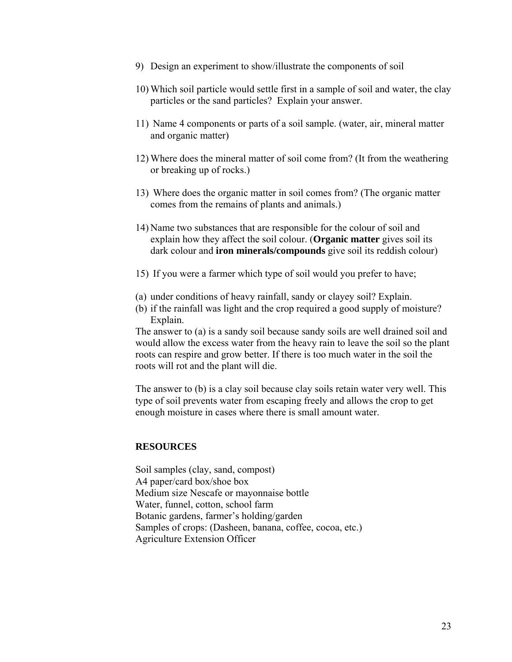- 9) Design an experiment to show/illustrate the components of soil
- 10) Which soil particle would settle first in a sample of soil and water, the clay particles or the sand particles? Explain your answer.
- 11) Name 4 components or parts of a soil sample. (water, air, mineral matter and organic matter)
- 12) Where does the mineral matter of soil come from? (It from the weathering or breaking up of rocks.)
- 13) Where does the organic matter in soil comes from? (The organic matter comes from the remains of plants and animals.)
- 14) Name two substances that are responsible for the colour of soil and explain how they affect the soil colour. (**Organic matter** gives soil its dark colour and **iron minerals/compounds** give soil its reddish colour)
- 15) If you were a farmer which type of soil would you prefer to have;
- (a) under conditions of heavy rainfall, sandy or clayey soil? Explain.
- (b) if the rainfall was light and the crop required a good supply of moisture? Explain.

The answer to (a) is a sandy soil because sandy soils are well drained soil and would allow the excess water from the heavy rain to leave the soil so the plant roots can respire and grow better. If there is too much water in the soil the roots will rot and the plant will die.

The answer to (b) is a clay soil because clay soils retain water very well. This type of soil prevents water from escaping freely and allows the crop to get enough moisture in cases where there is small amount water.

# **RESOURCES**

Soil samples (clay, sand, compost) A4 paper/card box/shoe box Medium size Nescafe or mayonnaise bottle Water, funnel, cotton, school farm Botanic gardens, farmer's holding/garden Samples of crops: (Dasheen, banana, coffee, cocoa, etc.) Agriculture Extension Officer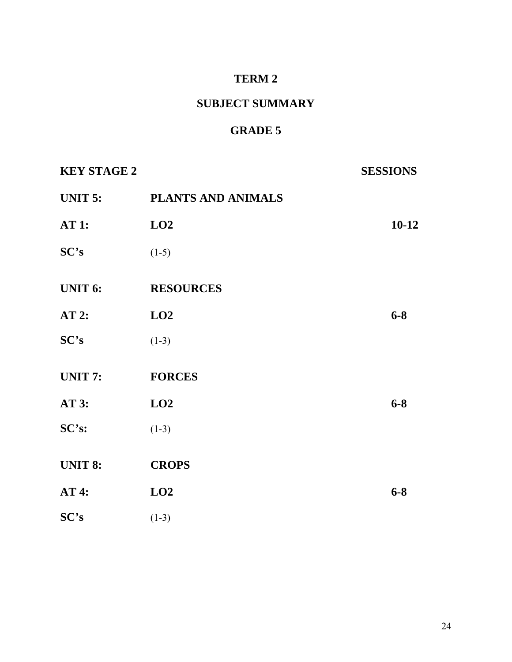# **TERM 2**

# **SUBJECT SUMMARY**

# **GRADE 5**

| <b>KEY STAGE 2</b> |                    | <b>SESSIONS</b> |
|--------------------|--------------------|-----------------|
| UNIT 5:            | PLANTS AND ANIMALS |                 |
| <b>AT 1:</b>       | LO2                | $10 - 12$       |
| SC's               | $(1-5)$            |                 |
| <b>UNIT 6:</b>     | <b>RESOURCES</b>   |                 |
| AT2:               | LO2                | $6 - 8$         |
| SC's               | $(1-3)$            |                 |
| <b>UNIT 7:</b>     | <b>FORCES</b>      |                 |
| <b>AT 3:</b>       | LO2                | $6 - 8$         |
| SC's:              | $(1-3)$            |                 |
| <b>UNIT 8:</b>     | <b>CROPS</b>       |                 |
| <b>AT4:</b>        | LO2                | $6 - 8$         |
| SC's               | $(1-3)$            |                 |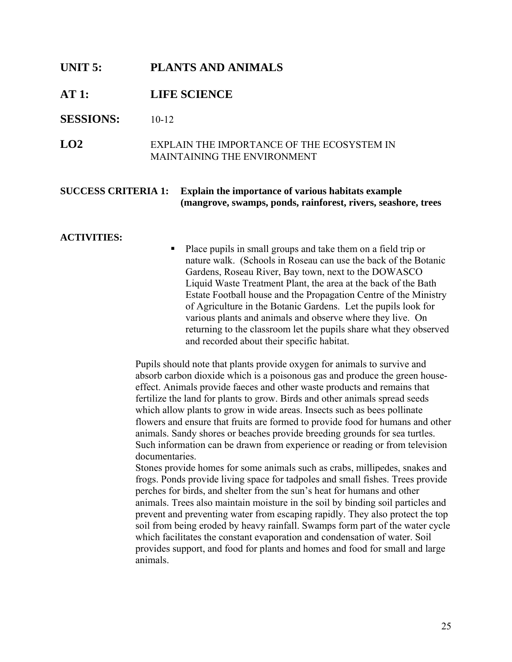# **UNIT 5: PLANTS AND ANIMALS**

# **AT 1: LIFE SCIENCE**

# **SESSIONS:** 10-12

**LO2** EXPLAIN THE IMPORTANCE OF THE ECOSYSTEM IN MAINTAINING THE ENVIRONMENT

# **SUCCESS CRITERIA 1: Explain the importance of various habitats example (mangrove, swamps, ponds, rainforest, rivers, seashore, trees**

#### **ACTIVITIES:**

 Place pupils in small groups and take them on a field trip or nature walk. (Schools in Roseau can use the back of the Botanic Gardens, Roseau River, Bay town, next to the DOWASCO Liquid Waste Treatment Plant, the area at the back of the Bath Estate Football house and the Propagation Centre of the Ministry of Agriculture in the Botanic Gardens. Let the pupils look for various plants and animals and observe where they live. On returning to the classroom let the pupils share what they observed and recorded about their specific habitat.

Pupils should note that plants provide oxygen for animals to survive and absorb carbon dioxide which is a poisonous gas and produce the green houseeffect. Animals provide faeces and other waste products and remains that fertilize the land for plants to grow. Birds and other animals spread seeds which allow plants to grow in wide areas. Insects such as bees pollinate flowers and ensure that fruits are formed to provide food for humans and other animals. Sandy shores or beaches provide breeding grounds for sea turtles. Such information can be drawn from experience or reading or from television documentaries.

Stones provide homes for some animals such as crabs, millipedes, snakes and frogs. Ponds provide living space for tadpoles and small fishes. Trees provide perches for birds, and shelter from the sun's heat for humans and other animals. Trees also maintain moisture in the soil by binding soil particles and prevent and preventing water from escaping rapidly. They also protect the top soil from being eroded by heavy rainfall. Swamps form part of the water cycle which facilitates the constant evaporation and condensation of water. Soil provides support, and food for plants and homes and food for small and large animals.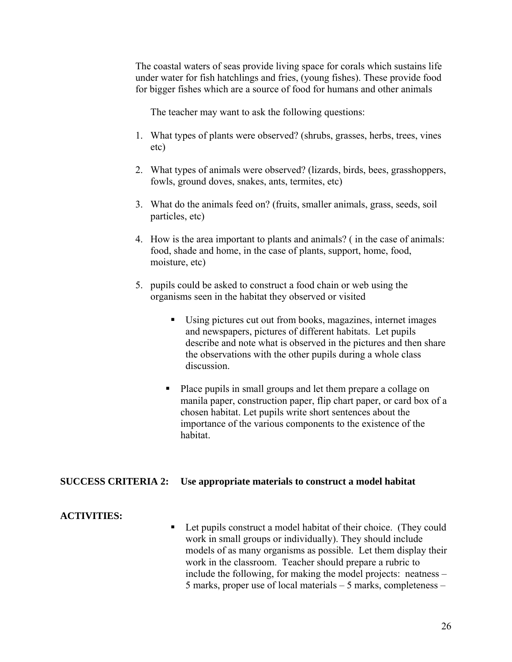The coastal waters of seas provide living space for corals which sustains life under water for fish hatchlings and fries, (young fishes). These provide food for bigger fishes which are a source of food for humans and other animals

The teacher may want to ask the following questions:

- 1. What types of plants were observed? (shrubs, grasses, herbs, trees, vines etc)
- 2. What types of animals were observed? (lizards, birds, bees, grasshoppers, fowls, ground doves, snakes, ants, termites, etc)
- 3. What do the animals feed on? (fruits, smaller animals, grass, seeds, soil particles, etc)
- 4. How is the area important to plants and animals? ( in the case of animals: food, shade and home, in the case of plants, support, home, food, moisture, etc)
- 5. pupils could be asked to construct a food chain or web using the organisms seen in the habitat they observed or visited
	- Using pictures cut out from books, magazines, internet images and newspapers, pictures of different habitats. Let pupils describe and note what is observed in the pictures and then share the observations with the other pupils during a whole class discussion.
	- Place pupils in small groups and let them prepare a collage on manila paper, construction paper, flip chart paper, or card box of a chosen habitat. Let pupils write short sentences about the importance of the various components to the existence of the habitat.

# **SUCCESS CRITERIA 2: Use appropriate materials to construct a model habitat**

# **ACTIVITIES:**

■ Let pupils construct a model habitat of their choice. (They could work in small groups or individually). They should include models of as many organisms as possible. Let them display their work in the classroom. Teacher should prepare a rubric to include the following, for making the model projects: neatness – 5 marks, proper use of local materials – 5 marks, completeness –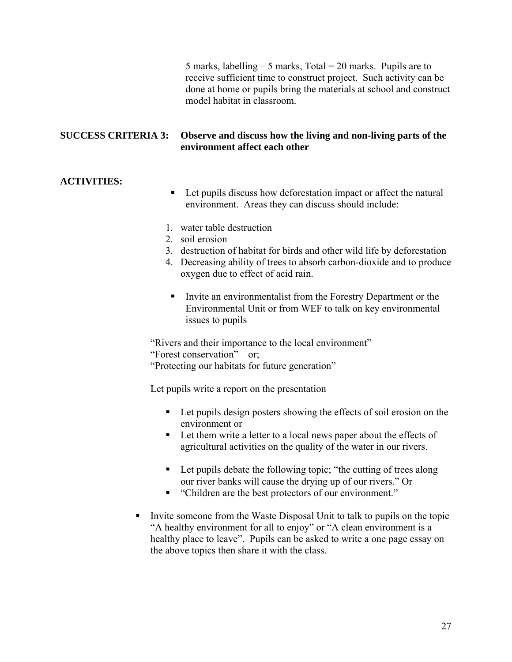5 marks, labelling  $-$  5 marks, Total = 20 marks. Pupils are to receive sufficient time to construct project. Such activity can be done at home or pupils bring the materials at school and construct model habitat in classroom.

# **SUCCESS CRITERIA 3: Observe and discuss how the living and non-living parts of the environment affect each other**

# **ACTIVITIES:**

- Let pupils discuss how deforestation impact or affect the natural environment. Areas they can discuss should include:
- 1. water table destruction
- 2. soil erosion
- 3. destruction of habitat for birds and other wild life by deforestation
- 4. Decreasing ability of trees to absorb carbon-dioxide and to produce oxygen due to effect of acid rain.
- Invite an environmentalist from the Forestry Department or the Environmental Unit or from WEF to talk on key environmental issues to pupils

"Rivers and their importance to the local environment"

"Forest conservation" – or;

"Protecting our habitats for future generation"

Let pupils write a report on the presentation

- Let pupils design posters showing the effects of soil erosion on the environment or
- Let them write a letter to a local news paper about the effects of agricultural activities on the quality of the water in our rivers.
- Let pupils debate the following topic; "the cutting of trees along our river banks will cause the drying up of our rivers." Or
- "Children are the best protectors of our environment."
- Invite someone from the Waste Disposal Unit to talk to pupils on the topic "A healthy environment for all to enjoy" or "A clean environment is a healthy place to leave". Pupils can be asked to write a one page essay on the above topics then share it with the class.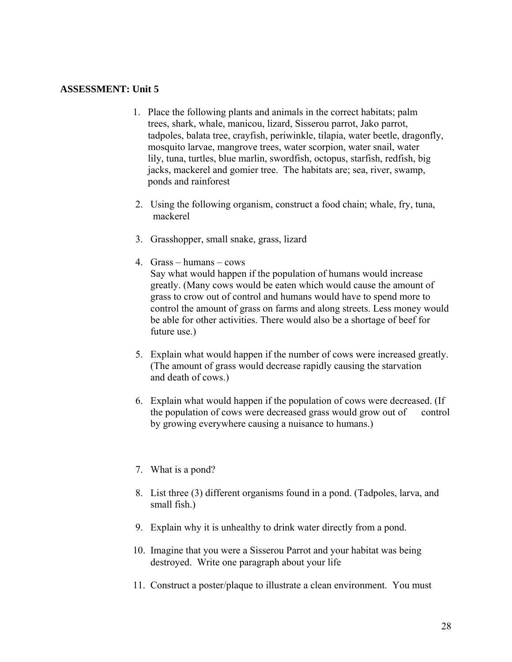#### **ASSESSMENT: Unit 5**

- 1. Place the following plants and animals in the correct habitats; palm trees, shark, whale, manicou, lizard, Sisserou parrot, Jako parrot, tadpoles, balata tree, crayfish, periwinkle, tilapia, water beetle, dragonfly, mosquito larvae, mangrove trees, water scorpion, water snail, water lily, tuna, turtles, blue marlin, swordfish, octopus, starfish, redfish, big jacks, mackerel and gomier tree. The habitats are; sea, river, swamp, ponds and rainforest
- 2. Using the following organism, construct a food chain; whale, fry, tuna, mackerel
- 3. Grasshopper, small snake, grass, lizard
- 4. Grass humans cows Say what would happen if the population of humans would increase greatly. (Many cows would be eaten which would cause the amount of grass to crow out of control and humans would have to spend more to control the amount of grass on farms and along streets. Less money would be able for other activities. There would also be a shortage of beef for future use.)
- 5. Explain what would happen if the number of cows were increased greatly. (The amount of grass would decrease rapidly causing the starvation and death of cows.)
- 6. Explain what would happen if the population of cows were decreased. (If the population of cows were decreased grass would grow out of control by growing everywhere causing a nuisance to humans.)
- 7. What is a pond?
- 8. List three (3) different organisms found in a pond. (Tadpoles, larva, and small fish.)
- 9. Explain why it is unhealthy to drink water directly from a pond.
- 10. Imagine that you were a Sisserou Parrot and your habitat was being destroyed. Write one paragraph about your life
- 11. Construct a poster/plaque to illustrate a clean environment. You must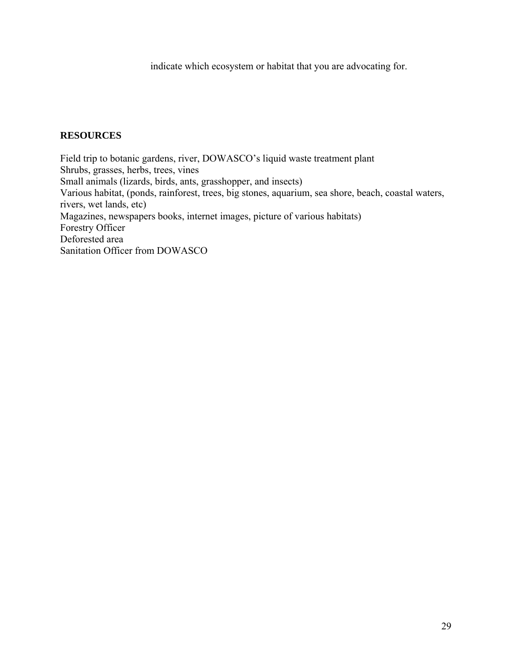indicate which ecosystem or habitat that you are advocating for.

# **RESOURCES**

Field trip to botanic gardens, river, DOWASCO's liquid waste treatment plant Shrubs, grasses, herbs, trees, vines Small animals (lizards, birds, ants, grasshopper, and insects) Various habitat, (ponds, rainforest, trees, big stones, aquarium, sea shore, beach, coastal waters, rivers, wet lands, etc) Magazines, newspapers books, internet images, picture of various habitats) Forestry Officer Deforested area Sanitation Officer from DOWASCO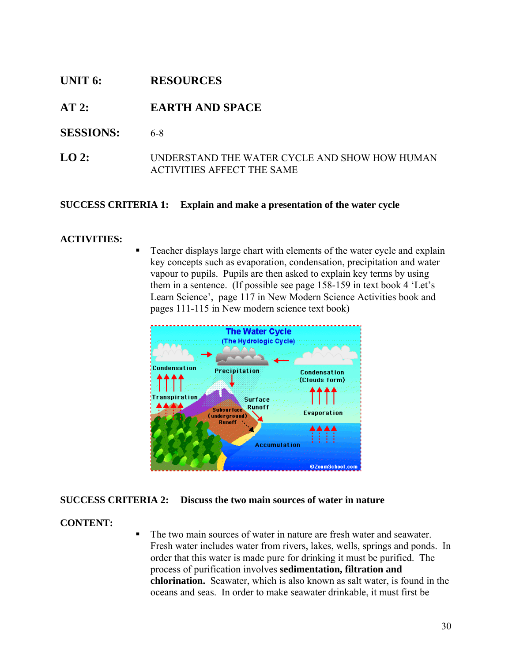# **UNIT 6: RESOURCES**

# **AT 2: EARTH AND SPACE**

- **SESSIONS:** 6-8
- **LO 2:** UNDERSTAND THE WATER CYCLE AND SHOW HOW HUMAN ACTIVITIES AFFECT THE SAME

# **SUCCESS CRITERIA 1: Explain and make a presentation of the water cycle**

# **ACTIVITIES:**

 Teacher displays large chart with elements of the water cycle and explain key concepts such as evaporation, condensation, precipitation and water vapour to pupils. Pupils are then asked to explain key terms by using them in a sentence. (If possible see page 158-159 in text book 4 'Let's Learn Science', page 117 in New Modern Science Activities book and pages 111-115 in New modern science text book)



# **SUCCESS CRITERIA 2: Discuss the two main sources of water in nature**

# **CONTENT:**

The two main sources of water in nature are fresh water and seawater. Fresh water includes water from rivers, lakes, wells, springs and ponds. In order that this water is made pure for drinking it must be purified. The process of purification involves **sedimentation, filtration and chlorination.** Seawater, which is also known as salt water, is found in the oceans and seas. In order to make seawater drinkable, it must first be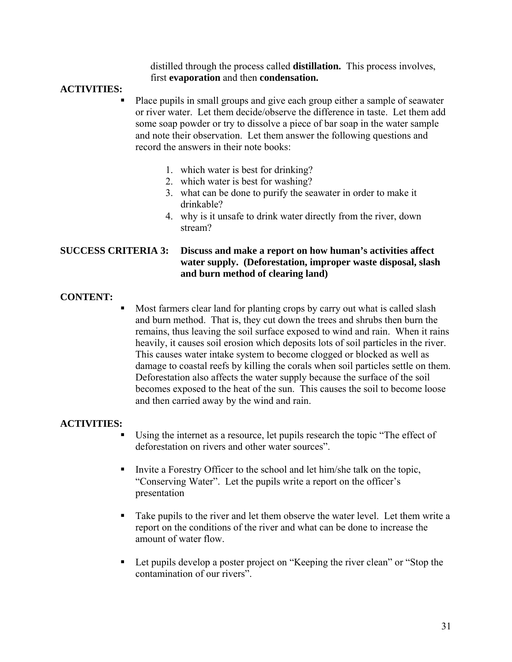distilled through the process called **distillation.** This process involves, first **evaporation** and then **condensation.**

# **ACTIVITIES:**

- Place pupils in small groups and give each group either a sample of seawater or river water. Let them decide/observe the difference in taste. Let them add some soap powder or try to dissolve a piece of bar soap in the water sample and note their observation. Let them answer the following questions and record the answers in their note books:
	- 1. which water is best for drinking?
	- 2. which water is best for washing?
	- 3. what can be done to purify the seawater in order to make it drinkable?
	- 4. why is it unsafe to drink water directly from the river, down stream?

# **SUCCESS CRITERIA 3: Discuss and make a report on how human's activities affect water supply. (Deforestation, improper waste disposal, slash and burn method of clearing land)**

# **CONTENT:**

 Most farmers clear land for planting crops by carry out what is called slash and burn method. That is, they cut down the trees and shrubs then burn the remains, thus leaving the soil surface exposed to wind and rain. When it rains heavily, it causes soil erosion which deposits lots of soil particles in the river. This causes water intake system to become clogged or blocked as well as damage to coastal reefs by killing the corals when soil particles settle on them. Deforestation also affects the water supply because the surface of the soil becomes exposed to the heat of the sun. This causes the soil to become loose and then carried away by the wind and rain.

# **ACTIVITIES:**

- Using the internet as a resource, let pupils research the topic "The effect of deforestation on rivers and other water sources".
- Invite a Forestry Officer to the school and let him/she talk on the topic, "Conserving Water". Let the pupils write a report on the officer's presentation
- Take pupils to the river and let them observe the water level. Let them write a report on the conditions of the river and what can be done to increase the amount of water flow.
- Let pupils develop a poster project on "Keeping the river clean" or "Stop the contamination of our rivers".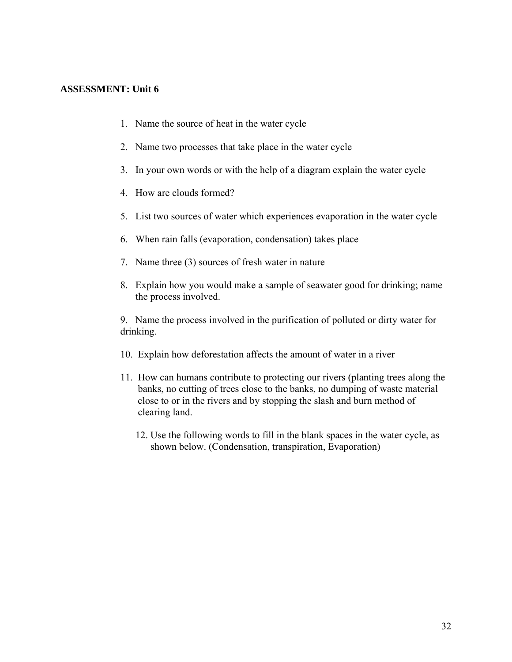# **ASSESSMENT: Unit 6**

- 1. Name the source of heat in the water cycle
- 2. Name two processes that take place in the water cycle
- 3. In your own words or with the help of a diagram explain the water cycle
- 4. How are clouds formed?
- 5. List two sources of water which experiences evaporation in the water cycle
- 6. When rain falls (evaporation, condensation) takes place
- 7. Name three (3) sources of fresh water in nature
- 8. Explain how you would make a sample of seawater good for drinking; name the process involved.

9. Name the process involved in the purification of polluted or dirty water for drinking.

- 10. Explain how deforestation affects the amount of water in a river
- 11. How can humans contribute to protecting our rivers (planting trees along the banks, no cutting of trees close to the banks, no dumping of waste material close to or in the rivers and by stopping the slash and burn method of clearing land.
	- 12. Use the following words to fill in the blank spaces in the water cycle, as shown below. (Condensation, transpiration, Evaporation)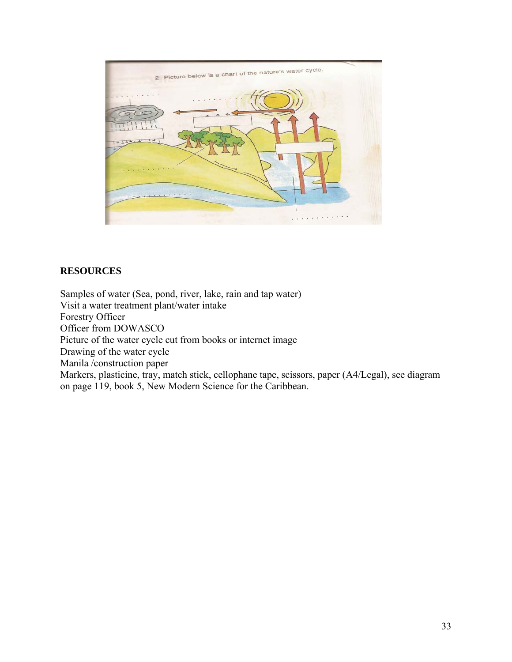

# **RESOURCES**

Samples of water (Sea, pond, river, lake, rain and tap water) Visit a water treatment plant/water intake Forestry Officer Officer from DOWASCO Picture of the water cycle cut from books or internet image Drawing of the water cycle Manila /construction paper Markers, plasticine, tray, match stick, cellophane tape, scissors, paper (A4/Legal), see diagram on page 119, book 5, New Modern Science for the Caribbean.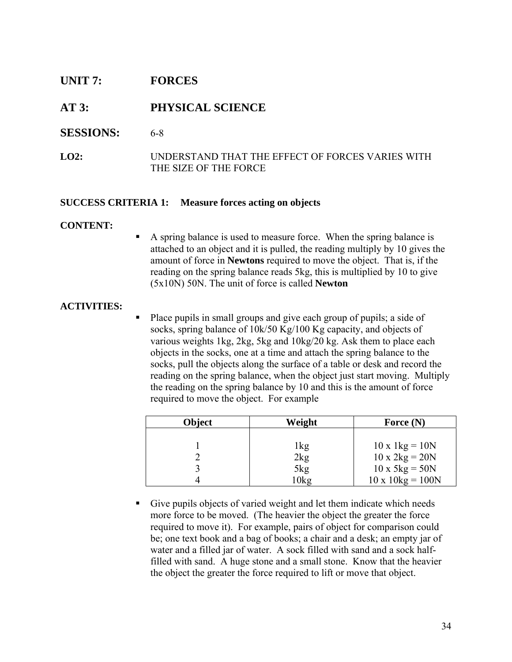# **UNIT 7: FORCES**

# **AT 3: PHYSICAL SCIENCE**

- **SESSIONS:** 6-8
- **LO2:** UNDERSTAND THAT THE EFFECT OF FORCES VARIES WITH THE SIZE OF THE FORCE

# **SUCCESS CRITERIA 1: Measure forces acting on objects**

# **CONTENT:**

 A spring balance is used to measure force. When the spring balance is attached to an object and it is pulled, the reading multiply by 10 gives the amount of force in **Newtons** required to move the object. That is, if the reading on the spring balance reads 5kg, this is multiplied by 10 to give (5x10N) 50N. The unit of force is called **Newton**

# **ACTIVITIES:**

 Place pupils in small groups and give each group of pupils; a side of socks, spring balance of 10k/50 Kg/100 Kg capacity, and objects of various weights 1kg, 2kg, 5kg and 10kg/20 kg. Ask them to place each objects in the socks, one at a time and attach the spring balance to the socks, pull the objects along the surface of a table or desk and record the reading on the spring balance, when the object just start moving. Multiply the reading on the spring balance by 10 and this is the amount of force required to move the object. For example

| Object | Weight | Force $(N)$                           |
|--------|--------|---------------------------------------|
|        |        |                                       |
|        | lkg    | $10 \times 1 \text{kg} = 10 \text{N}$ |
|        | 2kg    | $10 \times 2kg = 20N$                 |
|        | 5kg    | $10 \times 5 \text{kg} = 50 \text{N}$ |
|        | 10kg   | $10 \times 10$ kg = 100N              |

 Give pupils objects of varied weight and let them indicate which needs more force to be moved. (The heavier the object the greater the force required to move it). For example, pairs of object for comparison could be; one text book and a bag of books; a chair and a desk; an empty jar of water and a filled jar of water. A sock filled with sand and a sock halffilled with sand. A huge stone and a small stone. Know that the heavier the object the greater the force required to lift or move that object.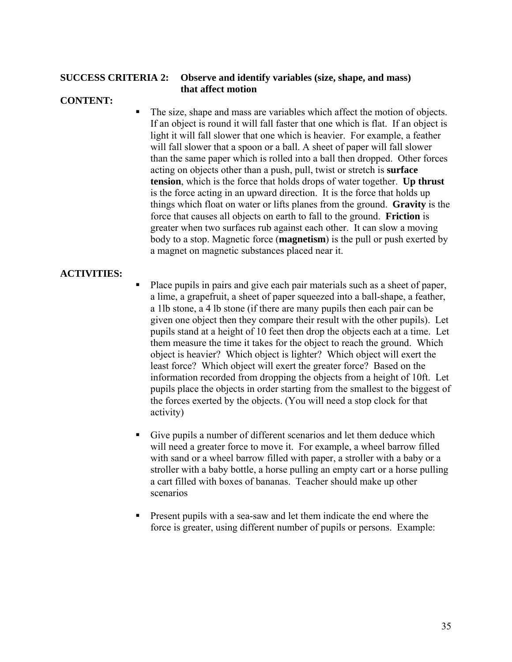# **SUCCESS CRITERIA 2: Observe and identify variables (size, shape, and mass) that affect motion**

# **CONTENT:**

The size, shape and mass are variables which affect the motion of objects. If an object is round it will fall faster that one which is flat. If an object is light it will fall slower that one which is heavier. For example, a feather will fall slower that a spoon or a ball. A sheet of paper will fall slower than the same paper which is rolled into a ball then dropped. Other forces acting on objects other than a push, pull, twist or stretch is **surface tension**, which is the force that holds drops of water together. **Up thrust** is the force acting in an upward direction. It is the force that holds up things which float on water or lifts planes from the ground. **Gravity** is the force that causes all objects on earth to fall to the ground. **Friction** is greater when two surfaces rub against each other. It can slow a moving body to a stop. Magnetic force (**magnetism**) is the pull or push exerted by a magnet on magnetic substances placed near it.

# **ACTIVITIES:**

- Place pupils in pairs and give each pair materials such as a sheet of paper, a lime, a grapefruit, a sheet of paper squeezed into a ball-shape, a feather, a 1lb stone, a 4 lb stone (if there are many pupils then each pair can be given one object then they compare their result with the other pupils). Let pupils stand at a height of 10 feet then drop the objects each at a time. Let them measure the time it takes for the object to reach the ground. Which object is heavier? Which object is lighter? Which object will exert the least force? Which object will exert the greater force? Based on the information recorded from dropping the objects from a height of 10ft. Let pupils place the objects in order starting from the smallest to the biggest of the forces exerted by the objects. (You will need a stop clock for that activity)
- Give pupils a number of different scenarios and let them deduce which will need a greater force to move it. For example, a wheel barrow filled with sand or a wheel barrow filled with paper, a stroller with a baby or a stroller with a baby bottle, a horse pulling an empty cart or a horse pulling a cart filled with boxes of bananas. Teacher should make up other scenarios
- **Present pupils with a sea-saw and let them indicate the end where the** force is greater, using different number of pupils or persons. Example: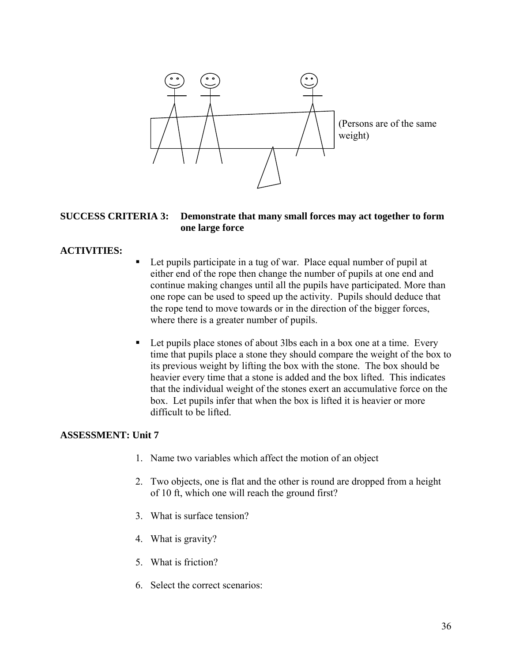

#### **SUCCESS CRITERIA 3: Demonstrate that many small forces may act together to form one large force**

# **ACTIVITIES:**

- Let pupils participate in a tug of war. Place equal number of pupil at either end of the rope then change the number of pupils at one end and continue making changes until all the pupils have participated. More than one rope can be used to speed up the activity. Pupils should deduce that the rope tend to move towards or in the direction of the bigger forces, where there is a greater number of pupils.
- Let pupils place stones of about 3lbs each in a box one at a time. Every time that pupils place a stone they should compare the weight of the box to its previous weight by lifting the box with the stone. The box should be heavier every time that a stone is added and the box lifted. This indicates that the individual weight of the stones exert an accumulative force on the box. Let pupils infer that when the box is lifted it is heavier or more difficult to be lifted.

# **ASSESSMENT: Unit 7**

- 1. Name two variables which affect the motion of an object
- 2. Two objects, one is flat and the other is round are dropped from a height of 10 ft, which one will reach the ground first?
- 3. What is surface tension?
- 4. What is gravity?
- 5. What is friction?
- 6. Select the correct scenarios: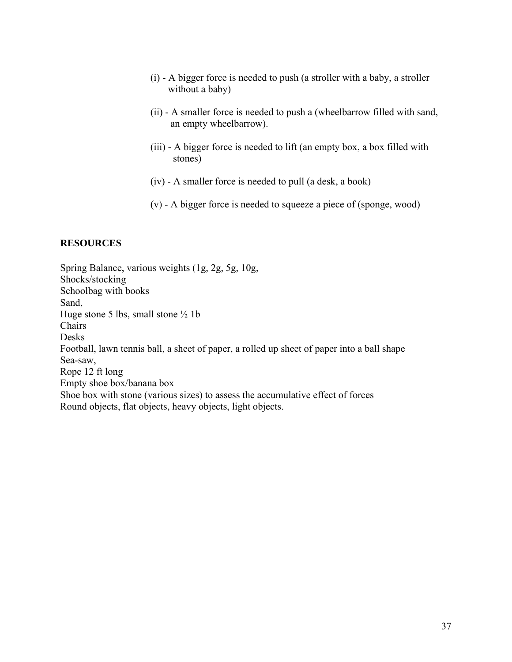- (i) A bigger force is needed to push (a stroller with a baby, a stroller without a baby)
- (ii) A smaller force is needed to push a (wheelbarrow filled with sand, an empty wheelbarrow).
- (iii) A bigger force is needed to lift (an empty box, a box filled with stones)
- (iv) A smaller force is needed to pull (a desk, a book)
- (v) A bigger force is needed to squeeze a piece of (sponge, wood)

# **RESOURCES**

Spring Balance, various weights (1g, 2g, 5g, 10g, Shocks/stocking Schoolbag with books Sand, Huge stone 5 lbs, small stone  $\frac{1}{2}$  1b Chairs Desks Football, lawn tennis ball, a sheet of paper, a rolled up sheet of paper into a ball shape Sea-saw, Rope 12 ft long Empty shoe box/banana box Shoe box with stone (various sizes) to assess the accumulative effect of forces Round objects, flat objects, heavy objects, light objects.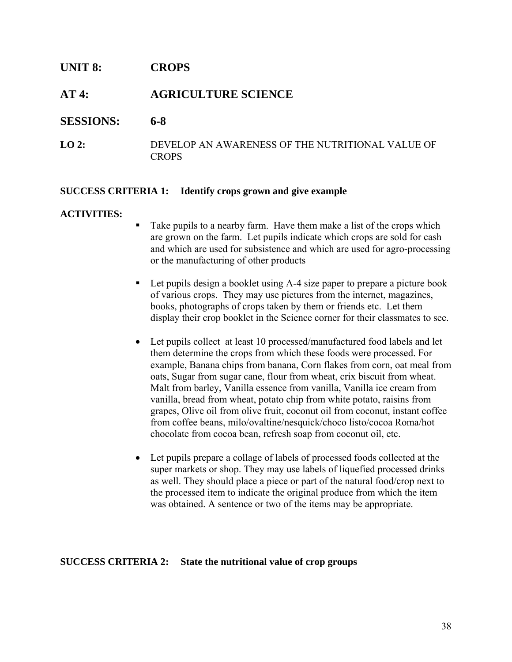# **UNIT 8: CROPS**

# **AT 4: AGRICULTURE SCIENCE**

# **SESSIONS: 6-8**

**LO 2:** DEVELOP AN AWARENESS OF THE NUTRITIONAL VALUE OF **CROPS** 

#### **SUCCESS CRITERIA 1: Identify crops grown and give example**

#### **ACTIVITIES:**

- Take pupils to a nearby farm. Have them make a list of the crops which are grown on the farm. Let pupils indicate which crops are sold for cash and which are used for subsistence and which are used for agro-processing or the manufacturing of other products
- Let pupils design a booklet using A-4 size paper to prepare a picture book of various crops. They may use pictures from the internet, magazines, books, photographs of crops taken by them or friends etc. Let them display their crop booklet in the Science corner for their classmates to see.
- Let pupils collect at least 10 processed/manufactured food labels and let them determine the crops from which these foods were processed. For example, Banana chips from banana, Corn flakes from corn, oat meal from oats, Sugar from sugar cane, flour from wheat, crix biscuit from wheat. Malt from barley, Vanilla essence from vanilla, Vanilla ice cream from vanilla, bread from wheat, potato chip from white potato, raisins from grapes, Olive oil from olive fruit, coconut oil from coconut, instant coffee from coffee beans, milo/ovaltine/nesquick/choco listo/cocoa Roma/hot chocolate from cocoa bean, refresh soap from coconut oil, etc.
- Let pupils prepare a collage of labels of processed foods collected at the super markets or shop. They may use labels of liquefied processed drinks as well. They should place a piece or part of the natural food/crop next to the processed item to indicate the original produce from which the item was obtained. A sentence or two of the items may be appropriate.

# **SUCCESS CRITERIA 2: State the nutritional value of crop groups**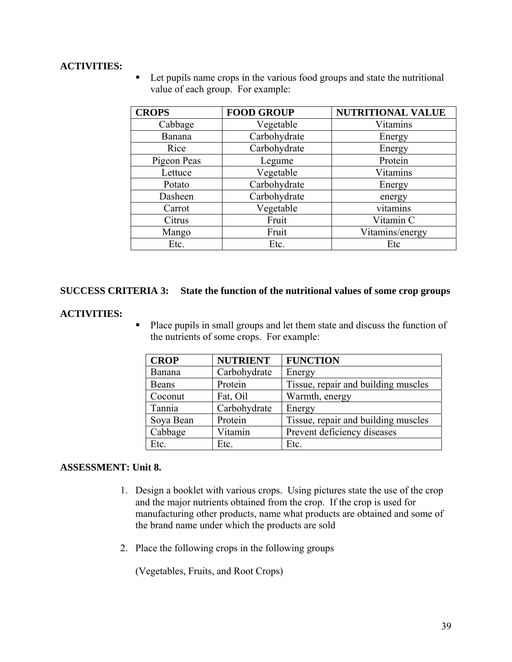# **ACTIVITIES:**

■ Let pupils name crops in the various food groups and state the nutritional value of each group. For example:

| <b>CROPS</b> | <b>FOOD GROUP</b> | NUTRITIONAL VALUE |
|--------------|-------------------|-------------------|
| Cabbage      | Vegetable         | Vitamins          |
| Banana       | Carbohydrate      | Energy            |
| Rice         | Carbohydrate      | Energy            |
| Pigeon Peas  | Legume            | Protein           |
| Lettuce      | Vegetable         | Vitamins          |
| Potato       | Carbohydrate      | Energy            |
| Dasheen      | Carbohydrate      | energy            |
| Carrot       | Vegetable         | vitamins          |
| Citrus       | Fruit             | Vitamin C         |
| Mango        | Fruit             | Vitamins/energy   |
| Etc.         | Etc.              | Etc               |

# **SUCCESS CRITERIA 3: State the function of the nutritional values of some crop groups**

#### **ACTIVITIES:**

Place pupils in small groups and let them state and discuss the function of the nutrients of some crops. For example:

| <b>CROP</b>  | <b>NUTRIENT</b> | <b>FUNCTION</b>                     |
|--------------|-----------------|-------------------------------------|
| Banana       | Carbohydrate    | Energy                              |
| <b>Beans</b> | Protein         | Tissue, repair and building muscles |
| Coconut      | Fat, Oil        | Warmth, energy                      |
| Tannia       | Carbohydrate    | Energy                              |
| Soya Bean    | Protein         | Tissue, repair and building muscles |
| Cabbage      | Vitamin         | Prevent deficiency diseases         |
| Etc.         | Etc.            | Etc.                                |

# **ASSESSMENT: Unit 8.**

- 1. Design a booklet with various crops. Using pictures state the use of the crop and the major nutrients obtained from the crop. If the crop is used for manufacturing other products, name what products are obtained and some of the brand name under which the products are sold
- 2. Place the following crops in the following groups

(Vegetables, Fruits, and Root Crops)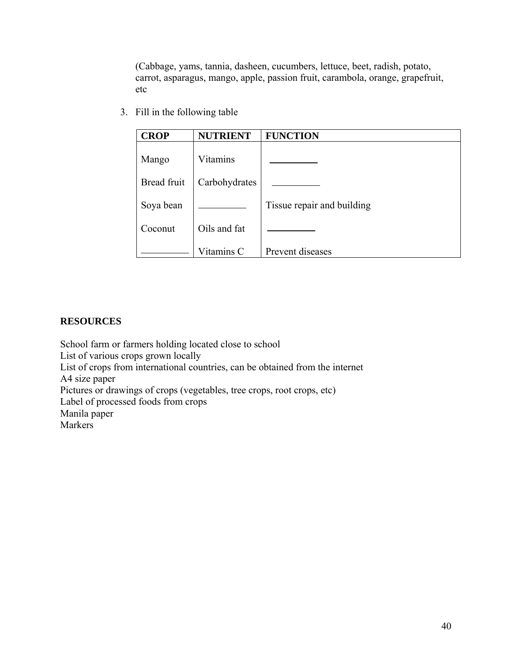(Cabbage, yams, tannia, dasheen, cucumbers, lettuce, beet, radish, potato, carrot, asparagus, mango, apple, passion fruit, carambola, orange, grapefruit, etc

3. Fill in the following table

| <b>CROP</b> | <b>NUTRIENT</b> | <b>FUNCTION</b>            |
|-------------|-----------------|----------------------------|
| Mango       | Vitamins        |                            |
| Bread fruit | Carbohydrates   |                            |
| Soya bean   |                 | Tissue repair and building |
| Coconut     | Oils and fat    |                            |
|             | Vitamins C      | Prevent diseases           |

# **RESOURCES**

School farm or farmers holding located close to school List of various crops grown locally List of crops from international countries, can be obtained from the internet A4 size paper Pictures or drawings of crops (vegetables, tree crops, root crops, etc) Label of processed foods from crops Manila paper Markers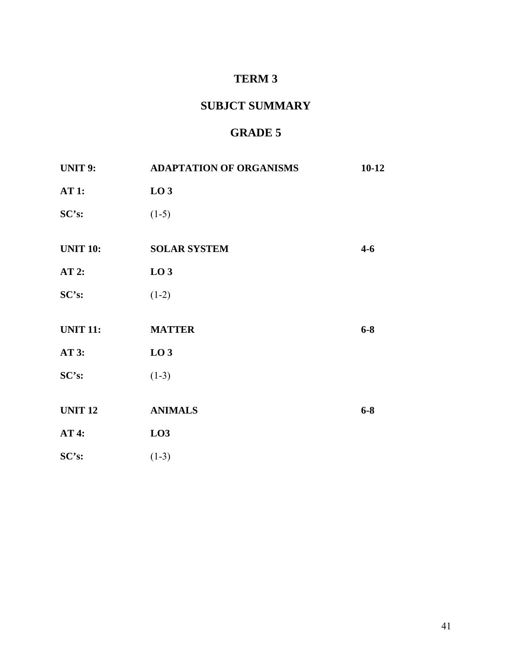# **TERM 3**

# **SUBJCT SUMMARY**

# **GRADE 5**

| <b>UNIT 9:</b>  | <b>ADAPTATION OF ORGANISMS</b> | $10-12$ |
|-----------------|--------------------------------|---------|
| AT1:            | LO <sub>3</sub>                |         |
| SC's:           | $(1-5)$                        |         |
| <b>UNIT 10:</b> | <b>SOLAR SYSTEM</b>            | $4 - 6$ |
| $AT2$ :         | LO <sub>3</sub>                |         |
| SC's:           | $(1-2)$                        |         |
|                 |                                |         |
| <b>UNIT 11:</b> | <b>MATTER</b>                  | $6 - 8$ |
| <b>AT 3:</b>    | LO <sub>3</sub>                |         |
| SC's:           | $(1-3)$                        |         |
|                 |                                |         |
| <b>UNIT 12</b>  | <b>ANIMALS</b>                 | $6 - 8$ |
| <b>AT 4:</b>    | LO3                            |         |
| SC's:           | $(1-3)$                        |         |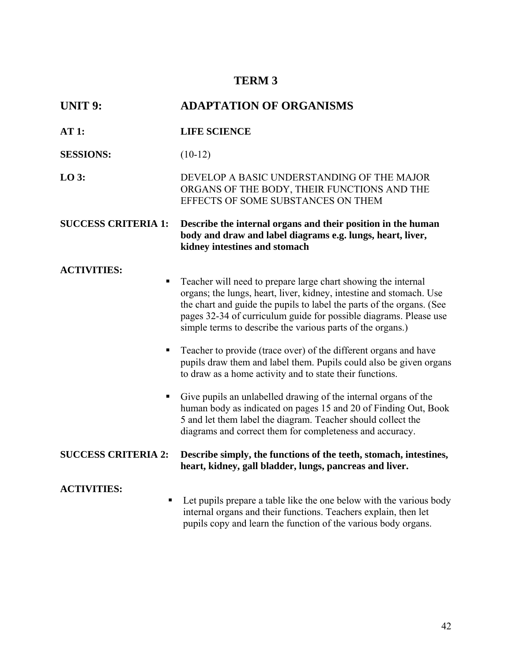# **TERM 3**

| <b>UNIT 9:</b>             | <b>ADAPTATION OF ORGANISMS</b>                                                                                                                                                                                                                                                                                                                   |  |
|----------------------------|--------------------------------------------------------------------------------------------------------------------------------------------------------------------------------------------------------------------------------------------------------------------------------------------------------------------------------------------------|--|
| <b>AT 1:</b>               | <b>LIFE SCIENCE</b>                                                                                                                                                                                                                                                                                                                              |  |
| <b>SESSIONS:</b>           | $(10-12)$                                                                                                                                                                                                                                                                                                                                        |  |
| $LO$ 3:                    | DEVELOP A BASIC UNDERSTANDING OF THE MAJOR<br>ORGANS OF THE BODY, THEIR FUNCTIONS AND THE<br>EFFECTS OF SOME SUBSTANCES ON THEM                                                                                                                                                                                                                  |  |
| <b>SUCCESS CRITERIA 1:</b> | Describe the internal organs and their position in the human<br>body and draw and label diagrams e.g. lungs, heart, liver,<br>kidney intestines and stomach                                                                                                                                                                                      |  |
| <b>ACTIVITIES:</b><br>п    | Teacher will need to prepare large chart showing the internal<br>organs; the lungs, heart, liver, kidney, intestine and stomach. Use<br>the chart and guide the pupils to label the parts of the organs. (See<br>pages 32-34 of curriculum guide for possible diagrams. Please use<br>simple terms to describe the various parts of the organs.) |  |
| п                          | Teacher to provide (trace over) of the different organs and have<br>pupils draw them and label them. Pupils could also be given organs<br>to draw as a home activity and to state their functions.                                                                                                                                               |  |
| ш                          | Give pupils an unlabelled drawing of the internal organs of the<br>human body as indicated on pages 15 and 20 of Finding Out, Book<br>5 and let them label the diagram. Teacher should collect the<br>diagrams and correct them for completeness and accuracy.                                                                                   |  |
| <b>SUCCESS CRITERIA 2:</b> | Describe simply, the functions of the teeth, stomach, intestines,<br>heart, kidney, gall bladder, lungs, pancreas and liver.                                                                                                                                                                                                                     |  |
| <b>ACTIVITIES:</b><br>п    | Let pupils prepare a table like the one below with the various body<br>internal organs and their functions. Teachers explain, then let<br>pupils copy and learn the function of the various body organs.                                                                                                                                         |  |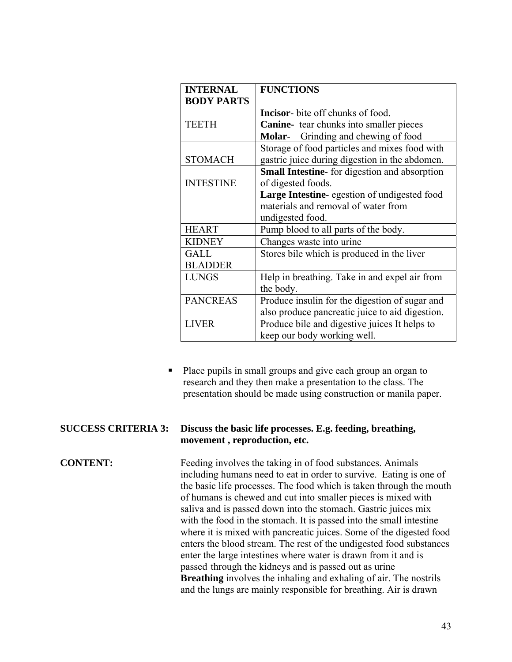| <b>INTERNAL</b>   | <b>FUNCTIONS</b>                                    |
|-------------------|-----------------------------------------------------|
| <b>BODY PARTS</b> |                                                     |
|                   | <b>Incisor-</b> bite off chunks of food.            |
| <b>TEETH</b>      | Canine- tear chunks into smaller pieces             |
|                   | <b>Molar-</b> Grinding and chewing of food          |
|                   | Storage of food particles and mixes food with       |
| <b>STOMACH</b>    | gastric juice during digestion in the abdomen.      |
|                   | Small Intestine- for digestion and absorption       |
| <b>INTESTINE</b>  | of digested foods.                                  |
|                   | <b>Large Intestine-</b> egestion of undigested food |
|                   | materials and removal of water from                 |
|                   | undigested food.                                    |
| <b>HEART</b>      | Pump blood to all parts of the body.                |
| <b>KIDNEY</b>     | Changes waste into urine                            |
| GALL              | Stores bile which is produced in the liver          |
| <b>BLADDER</b>    |                                                     |
| <b>LUNGS</b>      | Help in breathing. Take in and expel air from       |
|                   | the body.                                           |
| <b>PANCREAS</b>   | Produce insulin for the digestion of sugar and      |
|                   | also produce pancreatic juice to aid digestion.     |
| <b>LIVER</b>      | Produce bile and digestive juices It helps to       |
|                   | keep our body working well.                         |

Place pupils in small groups and give each group an organ to research and they then make a presentation to the class. The presentation should be made using construction or manila paper.

#### **SUCCESS CRITERIA 3: Discuss the basic life processes. E.g. feeding, breathing, movement , reproduction, etc.**

**CONTENT:** Feeding involves the taking in of food substances. Animals including humans need to eat in order to survive. Eating is one of the basic life processes. The food which is taken through the mouth of humans is chewed and cut into smaller pieces is mixed with saliva and is passed down into the stomach. Gastric juices mix with the food in the stomach. It is passed into the small intestine where it is mixed with pancreatic juices. Some of the digested food enters the blood stream. The rest of the undigested food substances enter the large intestines where water is drawn from it and is passed through the kidneys and is passed out as urine **Breathing** involves the inhaling and exhaling of air. The nostrils and the lungs are mainly responsible for breathing. Air is drawn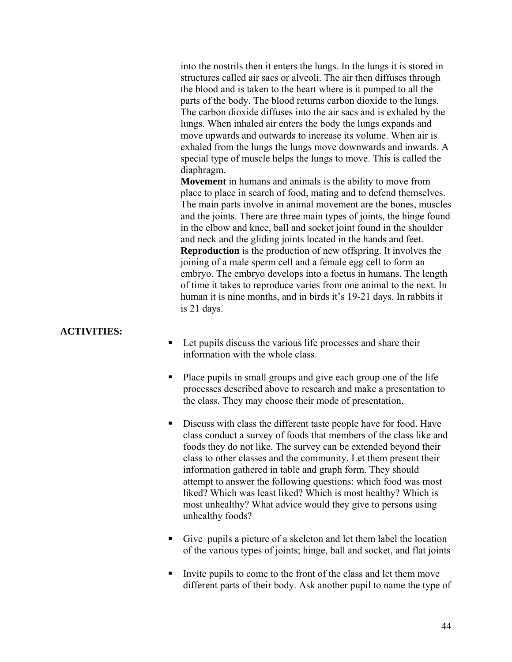into the nostrils then it enters the lungs. In the lungs it is stored in structures called air sacs or alveoli. The air then diffuses through the blood and is taken to the heart where is it pumped to all the parts of the body. The blood returns carbon dioxide to the lungs. The carbon dioxide diffuses into the air sacs and is exhaled by the lungs. When inhaled air enters the body the lungs expands and move upwards and outwards to increase its volume. When air is exhaled from the lungs the lungs move downwards and inwards. A special type of muscle helps the lungs to move. This is called the diaphragm.

 **Movement** in humans and animals is the ability to move from place to place in search of food, mating and to defend themselves. The main parts involve in animal movement are the bones, muscles and the joints. There are three main types of joints, the hinge found in the elbow and knee, ball and socket joint found in the shoulder and neck and the gliding joints located in the hands and feet. **Reproduction** is the production of new offspring. It involves the joining of a male sperm cell and a female egg cell to form an embryo. The embryo develops into a foetus in humans. The length of time it takes to reproduce varies from one animal to the next. In human it is nine months, and in birds it's 19-21 days. In rabbits it is 21 days.

#### **ACTIVITIES:**

- Let pupils discuss the various life processes and share their information with the whole class.
- Place pupils in small groups and give each group one of the life processes described above to research and make a presentation to the class. They may choose their mode of presentation.
- Discuss with class the different taste people have for food. Have class conduct a survey of foods that members of the class like and foods they do not like. The survey can be extended beyond their class to other classes and the community. Let them present their information gathered in table and graph form. They should attempt to answer the following questions: which food was most liked? Which was least liked? Which is most healthy? Which is most unhealthy? What advice would they give to persons using unhealthy foods?
- Give pupils a picture of a skeleton and let them label the location of the various types of joints; hinge, ball and socket, and flat joints
- Invite pupils to come to the front of the class and let them move different parts of their body. Ask another pupil to name the type of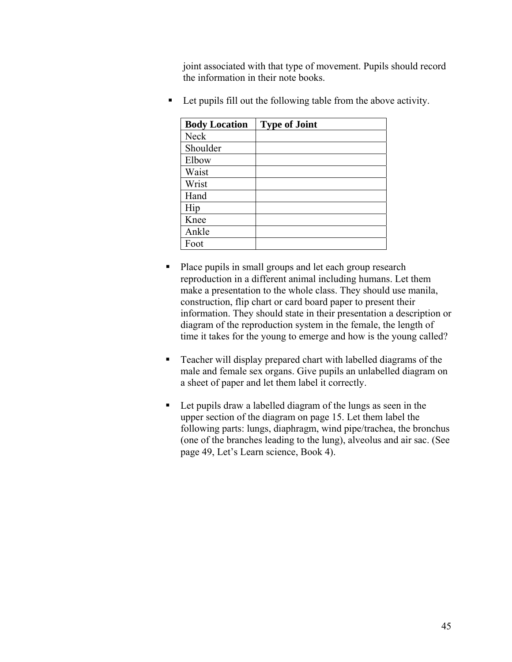joint associated with that type of movement. Pupils should record the information in their note books.

| <b>Body Location</b> | <b>Type of Joint</b> |
|----------------------|----------------------|
| Neck                 |                      |
| Shoulder             |                      |
| Elbow                |                      |
| Waist                |                      |
| Wrist                |                      |
| Hand                 |                      |
| Hip                  |                      |
| Knee                 |                      |
| Ankle                |                      |
| Foot                 |                      |

■ Let pupils fill out the following table from the above activity.

- Place pupils in small groups and let each group research reproduction in a different animal including humans. Let them make a presentation to the whole class. They should use manila, construction, flip chart or card board paper to present their information. They should state in their presentation a description or diagram of the reproduction system in the female, the length of time it takes for the young to emerge and how is the young called?
- Teacher will display prepared chart with labelled diagrams of the male and female sex organs. Give pupils an unlabelled diagram on a sheet of paper and let them label it correctly.
- Let pupils draw a labelled diagram of the lungs as seen in the upper section of the diagram on page 15. Let them label the following parts: lungs, diaphragm, wind pipe/trachea, the bronchus (one of the branches leading to the lung), alveolus and air sac. (See page 49, Let's Learn science, Book 4).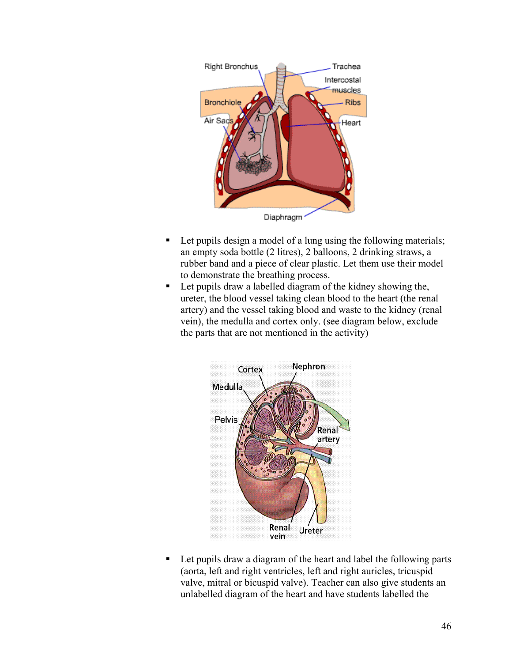

- Let pupils design a model of a lung using the following materials; an empty soda bottle (2 litres), 2 balloons, 2 drinking straws, a rubber band and a piece of clear plastic. Let them use their model to demonstrate the breathing process.
- Let pupils draw a labelled diagram of the kidney showing the, ureter, the blood vessel taking clean blood to the heart (the renal artery) and the vessel taking blood and waste to the kidney (renal vein), the medulla and cortex only. (see diagram below, exclude the parts that are not mentioned in the activity)



■ Let pupils draw a diagram of the heart and label the following parts (aorta, left and right ventricles, left and right auricles, tricuspid valve, mitral or bicuspid valve). Teacher can also give students an unlabelled diagram of the heart and have students labelled the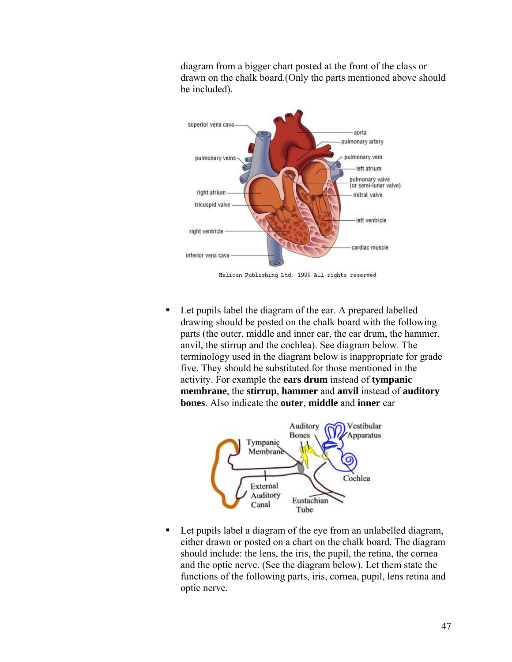diagram from a bigger chart posted at the front of the class or drawn on the chalk board.(Only the parts mentioned above should be included).



Helicon Publishing Ltd. 1999 All rights reserved

■ Let pupils label the diagram of the ear. A prepared labelled drawing should be posted on the chalk board with the following parts (the outer, middle and inner ear, the ear drum, the hammer, anvil, the stirrup and the cochlea). See diagram below. The terminology used in the diagram below is inappropriate for grade five. They should be substituted for those mentioned in the activity. For example the **ears drum** instead of **tympanic membrane**, the **stirrup**, **hammer** and **anvil** instead of **auditory bones**. Also indicate the **outer**, **middle** and **inner** ear



■ Let pupils label a diagram of the eye from an unlabelled diagram, either drawn or posted on a chart on the chalk board. The diagram should include: the lens, the iris, the pupil, the retina, the cornea and the optic nerve. (See the diagram below). Let them state the functions of the following parts, iris, cornea, pupil, lens retina and optic nerve.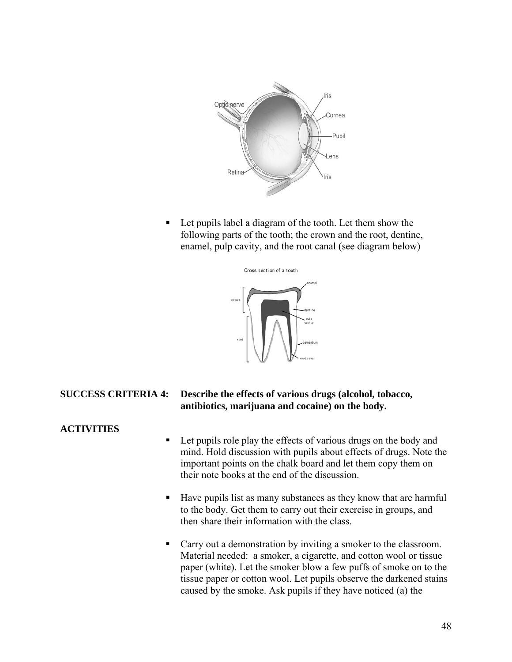

■ Let pupils label a diagram of the tooth. Let them show the following parts of the tooth; the crown and the root, dentine, enamel, pulp cavity, and the root canal (see diagram below)



# **SUCCESS CRITERIA 4: Describe the effects of various drugs (alcohol, tobacco, antibiotics, marijuana and cocaine) on the body.**

# **ACTIVITIES**

- Let pupils role play the effects of various drugs on the body and mind. Hold discussion with pupils about effects of drugs. Note the important points on the chalk board and let them copy them on their note books at the end of the discussion.
- Have pupils list as many substances as they know that are harmful to the body. Get them to carry out their exercise in groups, and then share their information with the class.
- Carry out a demonstration by inviting a smoker to the classroom. Material needed: a smoker, a cigarette, and cotton wool or tissue paper (white). Let the smoker blow a few puffs of smoke on to the tissue paper or cotton wool. Let pupils observe the darkened stains caused by the smoke. Ask pupils if they have noticed (a) the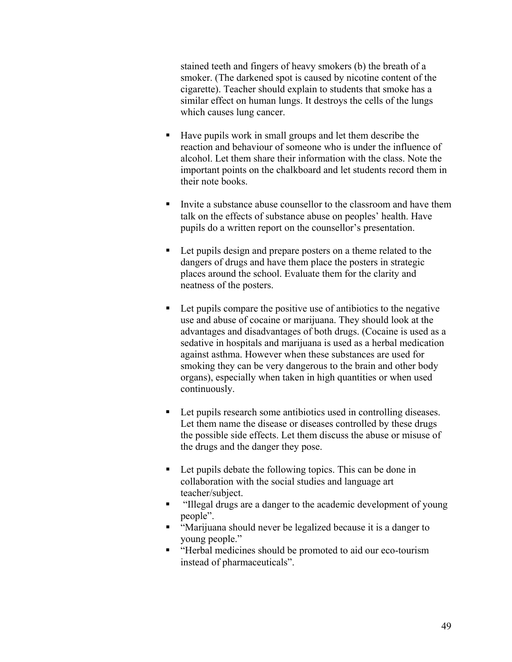stained teeth and fingers of heavy smokers (b) the breath of a smoker. (The darkened spot is caused by nicotine content of the cigarette). Teacher should explain to students that smoke has a similar effect on human lungs. It destroys the cells of the lungs which causes lung cancer.

- Have pupils work in small groups and let them describe the reaction and behaviour of someone who is under the influence of alcohol. Let them share their information with the class. Note the important points on the chalkboard and let students record them in their note books.
- Invite a substance abuse counsellor to the classroom and have them talk on the effects of substance abuse on peoples' health. Have pupils do a written report on the counsellor's presentation.
- Let pupils design and prepare posters on a theme related to the dangers of drugs and have them place the posters in strategic places around the school. Evaluate them for the clarity and neatness of the posters.
- Let pupils compare the positive use of antibiotics to the negative use and abuse of cocaine or marijuana. They should look at the advantages and disadvantages of both drugs. (Cocaine is used as a sedative in hospitals and marijuana is used as a herbal medication against asthma. However when these substances are used for smoking they can be very dangerous to the brain and other body organs), especially when taken in high quantities or when used continuously.
- Let pupils research some antibiotics used in controlling diseases. Let them name the disease or diseases controlled by these drugs the possible side effects. Let them discuss the abuse or misuse of the drugs and the danger they pose.
- Let pupils debate the following topics. This can be done in collaboration with the social studies and language art teacher/subject.
- "Illegal drugs are a danger to the academic development of young people".
- "Marijuana should never be legalized because it is a danger to young people."
- "Herbal medicines should be promoted to aid our eco-tourism instead of pharmaceuticals".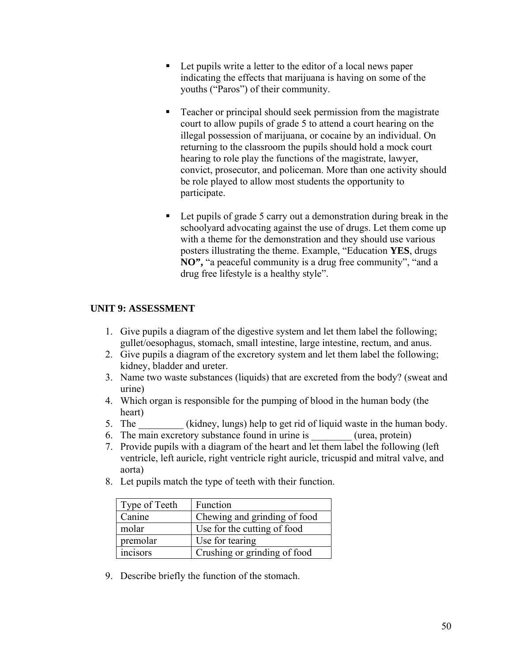- Let pupils write a letter to the editor of a local news paper indicating the effects that marijuana is having on some of the youths ("Paros") of their community.
- Teacher or principal should seek permission from the magistrate court to allow pupils of grade 5 to attend a court hearing on the illegal possession of marijuana, or cocaine by an individual. On returning to the classroom the pupils should hold a mock court hearing to role play the functions of the magistrate, lawyer, convict, prosecutor, and policeman. More than one activity should be role played to allow most students the opportunity to participate.
- Let pupils of grade 5 carry out a demonstration during break in the schoolyard advocating against the use of drugs. Let them come up with a theme for the demonstration and they should use various posters illustrating the theme. Example, "Education **YES**, drugs **NO",** "a peaceful community is a drug free community", "and a drug free lifestyle is a healthy style".

# **UNIT 9: ASSESSMENT**

- 1. Give pupils a diagram of the digestive system and let them label the following; gullet/oesophagus, stomach, small intestine, large intestine, rectum, and anus.
- 2. Give pupils a diagram of the excretory system and let them label the following; kidney, bladder and ureter.
- 3. Name two waste substances (liquids) that are excreted from the body? (sweat and urine)
- 4. Which organ is responsible for the pumping of blood in the human body (the heart)
- 5. The (kidney, lungs) help to get rid of liquid waste in the human body.
- 6. The main excretory substance found in urine is  $($ urea, protein)
- 7. Provide pupils with a diagram of the heart and let them label the following (left ventricle, left auricle, right ventricle right auricle, tricuspid and mitral valve, and aorta)
- 8. Let pupils match the type of teeth with their function.

| Type of Teeth | Function                     |
|---------------|------------------------------|
| Canine        | Chewing and grinding of food |
| molar         | Use for the cutting of food  |
| premolar      | Use for tearing              |
| incisors      | Crushing or grinding of food |

9. Describe briefly the function of the stomach.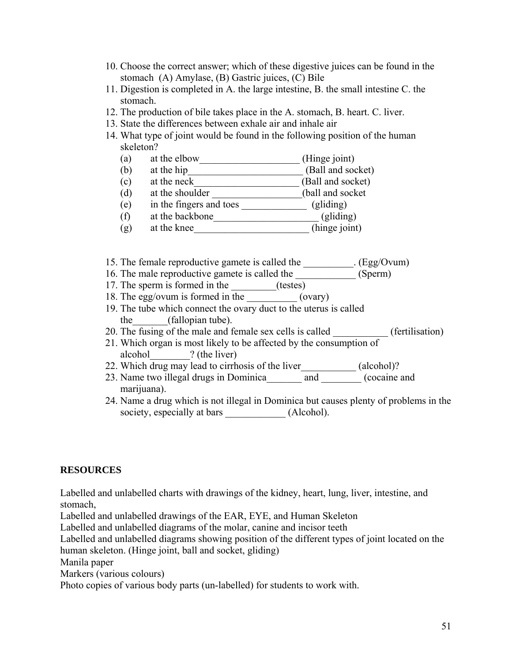- 10. Choose the correct answer; which of these digestive juices can be found in the stomach (A) Amylase, (B) Gastric juices, (C) Bile
- 11. Digestion is completed in A. the large intestine, B. the small intestine C. the stomach.
- 12. The production of bile takes place in the A. stomach, B. heart. C. liver.
- 13. State the differences between exhale air and inhale air
- 14. What type of joint would be found in the following position of the human skeleton?
	- (a) at the elbow\_\_\_\_\_\_\_\_\_\_\_\_\_\_\_\_\_\_\_\_ (Hinge joint)
	- (b) at the hip  $(Ball and socket)$
	- (c) at the neck  $\overline{\phantom{a}}$  (Ball and socket)
	- (d) at the shoulder \_\_\_\_\_\_\_\_\_\_\_\_\_\_\_\_\_\_(ball and socket
	- (e) in the fingers and toes  $\frac{\qquad \qquad }{2}$  (gliding)
	- (f) at the backbone\_\_\_\_\_\_\_\_\_\_\_\_\_\_\_\_\_\_\_\_\_ (gliding)
	- (g) at the knee (hinge joint)
- 15. The female reproductive gamete is called the \_\_\_\_\_\_\_\_\_\_. (Egg/Ovum)
- 16. The male reproductive gamete is called the \_\_\_\_\_\_\_\_\_\_\_\_ (Sperm)
- 17. The sperm is formed in the \_\_\_\_\_\_\_(testes)
- 18. The egg/ovum is formed in the  $\frac{1}{\sqrt{1-\frac{1}{n}}}\cos(\theta)$
- 19. The tube which connect the ovary duct to the uterus is called the (fallopian tube).
- 20. The fusing of the male and female sex cells is called \_\_\_\_\_\_\_\_\_\_\_ (fertilisation)
- 21. Which organ is most likely to be affected by the consumption of alcohol 2 (the liver)
- 22. Which drug may lead to cirrhosis of the liver (alcohol)?
- 23. Name two illegal drugs in Dominica \_\_\_\_\_\_\_ and \_\_\_\_\_\_\_ (cocaine and marijuana).
- 24. Name a drug which is not illegal in Dominica but causes plenty of problems in the society, especially at bars \_\_\_\_\_\_\_\_\_\_\_\_\_\_ (Alcohol).

# **RESOURCES**

Labelled and unlabelled charts with drawings of the kidney, heart, lung, liver, intestine, and stomach,

Labelled and unlabelled drawings of the EAR, EYE, and Human Skeleton

Labelled and unlabelled diagrams of the molar, canine and incisor teeth

Labelled and unlabelled diagrams showing position of the different types of joint located on the human skeleton. (Hinge joint, ball and socket, gliding)

Manila paper

Markers (various colours)

Photo copies of various body parts (un-labelled) for students to work with.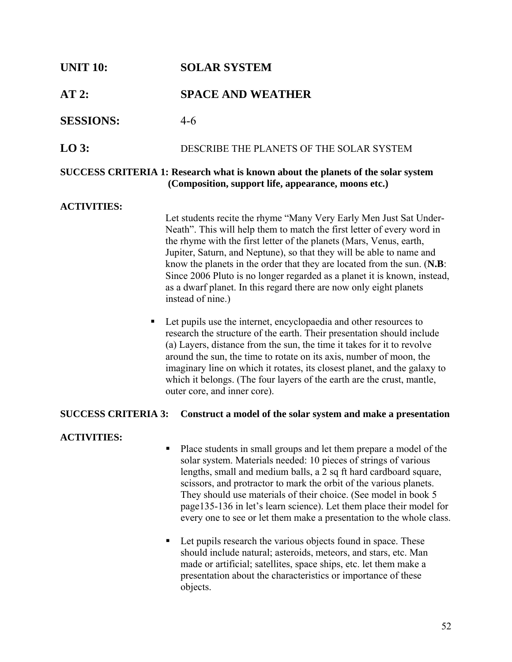# **UNIT 10: SOLAR SYSTEM AT 2: SPACE AND WEATHER SESSIONS:** 4-6 **LO 3:** DESCRIBE THE PLANETS OF THE SOLAR SYSTEM **SUCCESS CRITERIA 1: Research what is known about the planets of the solar system (Composition, support life, appearance, moons etc.)**

# **ACTIVITIES:**

Let students recite the rhyme "Many Very Early Men Just Sat Under-Neath". This will help them to match the first letter of every word in the rhyme with the first letter of the planets (Mars, Venus, earth, Jupiter, Saturn, and Neptune), so that they will be able to name and know the planets in the order that they are located from the sun. (**N.B**: Since 2006 Pluto is no longer regarded as a planet it is known, instead, as a dwarf planet. In this regard there are now only eight planets instead of nine.)

■ Let pupils use the internet, encyclopaedia and other resources to research the structure of the earth. Their presentation should include (a) Layers, distance from the sun, the time it takes for it to revolve around the sun, the time to rotate on its axis, number of moon, the imaginary line on which it rotates, its closest planet, and the galaxy to which it belongs. (The four layers of the earth are the crust, mantle, outer core, and inner core).

# **SUCCESS CRITERIA 3: Construct a model of the solar system and make a presentation**

# **ACTIVITIES:**

- Place students in small groups and let them prepare a model of the solar system. Materials needed: 10 pieces of strings of various lengths, small and medium balls, a 2 sq ft hard cardboard square, scissors, and protractor to mark the orbit of the various planets. They should use materials of their choice. (See model in book 5 page135-136 in let's learn science). Let them place their model for every one to see or let them make a presentation to the whole class.
- Let pupils research the various objects found in space. These should include natural; asteroids, meteors, and stars, etc. Man made or artificial; satellites, space ships, etc. let them make a presentation about the characteristics or importance of these objects.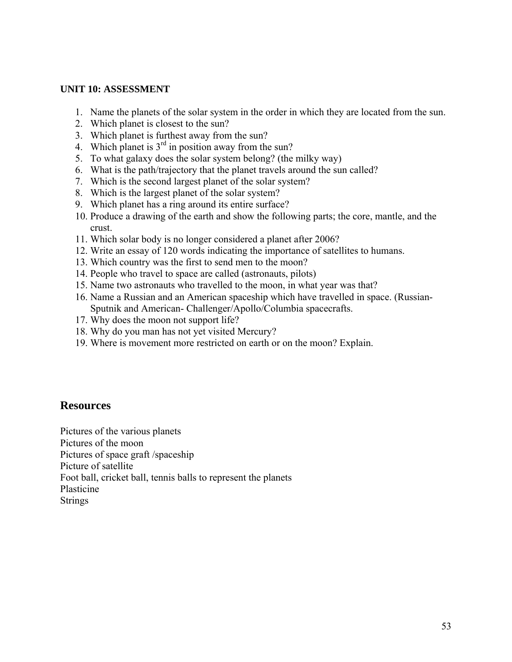#### **UNIT 10: ASSESSMENT**

- 1. Name the planets of the solar system in the order in which they are located from the sun.
- 2. Which planet is closest to the sun?
- 3. Which planet is furthest away from the sun?
- 4. Which planet is  $3<sup>rd</sup>$  in position away from the sun?
- 5. To what galaxy does the solar system belong? (the milky way)
- 6. What is the path/trajectory that the planet travels around the sun called?
- 7. Which is the second largest planet of the solar system?
- 8. Which is the largest planet of the solar system?
- 9. Which planet has a ring around its entire surface?
- 10. Produce a drawing of the earth and show the following parts; the core, mantle, and the crust.
- 11. Which solar body is no longer considered a planet after 2006?
- 12. Write an essay of 120 words indicating the importance of satellites to humans.
- 13. Which country was the first to send men to the moon?
- 14. People who travel to space are called (astronauts, pilots)
- 15. Name two astronauts who travelled to the moon, in what year was that?
- 16. Name a Russian and an American spaceship which have travelled in space. (Russian-Sputnik and American- Challenger/Apollo/Columbia spacecrafts.
- 17. Why does the moon not support life?
- 18. Why do you man has not yet visited Mercury?
- 19. Where is movement more restricted on earth or on the moon? Explain.

# **Resources**

Pictures of the various planets Pictures of the moon Pictures of space graft /spaceship Picture of satellite Foot ball, cricket ball, tennis balls to represent the planets Plasticine Strings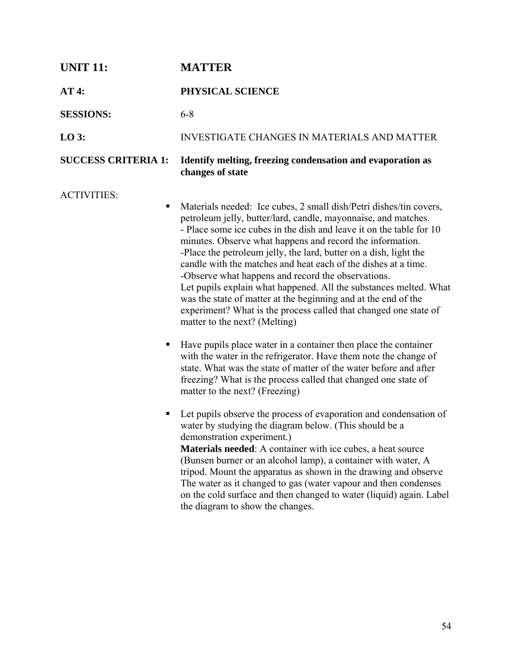| <b>UNIT 11:</b>              | <b>MATTER</b>                                                                                                                                                                                                                                                                                                                                                                                                                                                                                                                                                                                                                                                                                                                                                                                                                                                                                                                                                                                                                                                                                                                                                                                                                                                                                                                                                                                                                                                                                                                                                                          |  |
|------------------------------|----------------------------------------------------------------------------------------------------------------------------------------------------------------------------------------------------------------------------------------------------------------------------------------------------------------------------------------------------------------------------------------------------------------------------------------------------------------------------------------------------------------------------------------------------------------------------------------------------------------------------------------------------------------------------------------------------------------------------------------------------------------------------------------------------------------------------------------------------------------------------------------------------------------------------------------------------------------------------------------------------------------------------------------------------------------------------------------------------------------------------------------------------------------------------------------------------------------------------------------------------------------------------------------------------------------------------------------------------------------------------------------------------------------------------------------------------------------------------------------------------------------------------------------------------------------------------------------|--|
| AT4:                         | PHYSICAL SCIENCE                                                                                                                                                                                                                                                                                                                                                                                                                                                                                                                                                                                                                                                                                                                                                                                                                                                                                                                                                                                                                                                                                                                                                                                                                                                                                                                                                                                                                                                                                                                                                                       |  |
| <b>SESSIONS:</b>             | $6 - 8$                                                                                                                                                                                                                                                                                                                                                                                                                                                                                                                                                                                                                                                                                                                                                                                                                                                                                                                                                                                                                                                                                                                                                                                                                                                                                                                                                                                                                                                                                                                                                                                |  |
| $LO$ 3:                      | <b>INVESTIGATE CHANGES IN MATERIALS AND MATTER</b>                                                                                                                                                                                                                                                                                                                                                                                                                                                                                                                                                                                                                                                                                                                                                                                                                                                                                                                                                                                                                                                                                                                                                                                                                                                                                                                                                                                                                                                                                                                                     |  |
| <b>SUCCESS CRITERIA 1:</b>   | Identify melting, freezing condensation and evaporation as<br>changes of state                                                                                                                                                                                                                                                                                                                                                                                                                                                                                                                                                                                                                                                                                                                                                                                                                                                                                                                                                                                                                                                                                                                                                                                                                                                                                                                                                                                                                                                                                                         |  |
| <b>ACTIVITIES:</b><br>٠<br>п | Materials needed: Ice cubes, 2 small dish/Petri dishes/tin covers,<br>petroleum jelly, butter/lard, candle, mayonnaise, and matches.<br>- Place some ice cubes in the dish and leave it on the table for 10<br>minutes. Observe what happens and record the information.<br>-Place the petroleum jelly, the lard, butter on a dish, light the<br>candle with the matches and heat each of the dishes at a time.<br>-Observe what happens and record the observations.<br>Let pupils explain what happened. All the substances melted. What<br>was the state of matter at the beginning and at the end of the<br>experiment? What is the process called that changed one state of<br>matter to the next? (Melting)<br>Have pupils place water in a container then place the container<br>with the water in the refrigerator. Have them note the change of<br>state. What was the state of matter of the water before and after<br>freezing? What is the process called that changed one state of<br>matter to the next? (Freezing)<br>Let pupils observe the process of evaporation and condensation of<br>water by studying the diagram below. (This should be a<br>demonstration experiment.)<br><b>Materials needed:</b> A container with ice cubes, a heat source<br>(Bunsen burner or an alcohol lamp), a container with water, A<br>tripod. Mount the apparatus as shown in the drawing and observe<br>The water as it changed to gas (water vapour and then condenses<br>on the cold surface and then changed to water (liquid) again. Label<br>the diagram to show the changes. |  |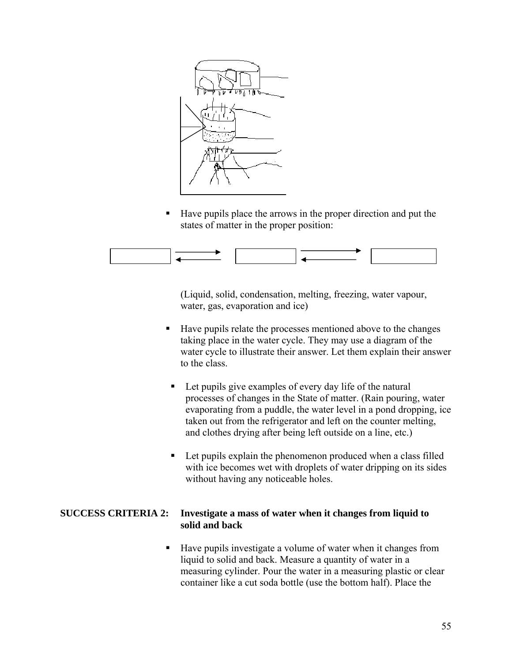

■ Have pupils place the arrows in the proper direction and put the states of matter in the proper position:



 (Liquid, solid, condensation, melting, freezing, water vapour, water, gas, evaporation and ice)

- Have pupils relate the processes mentioned above to the changes taking place in the water cycle. They may use a diagram of the water cycle to illustrate their answer. Let them explain their answer to the class.
	- Let pupils give examples of every day life of the natural processes of changes in the State of matter. (Rain pouring, water evaporating from a puddle, the water level in a pond dropping, ice taken out from the refrigerator and left on the counter melting, and clothes drying after being left outside on a line, etc.)
	- Let pupils explain the phenomenon produced when a class filled with ice becomes wet with droplets of water dripping on its sides without having any noticeable holes.

# **SUCCESS CRITERIA 2: Investigate a mass of water when it changes from liquid to solid and back**

■ Have pupils investigate a volume of water when it changes from liquid to solid and back. Measure a quantity of water in a measuring cylinder. Pour the water in a measuring plastic or clear container like a cut soda bottle (use the bottom half). Place the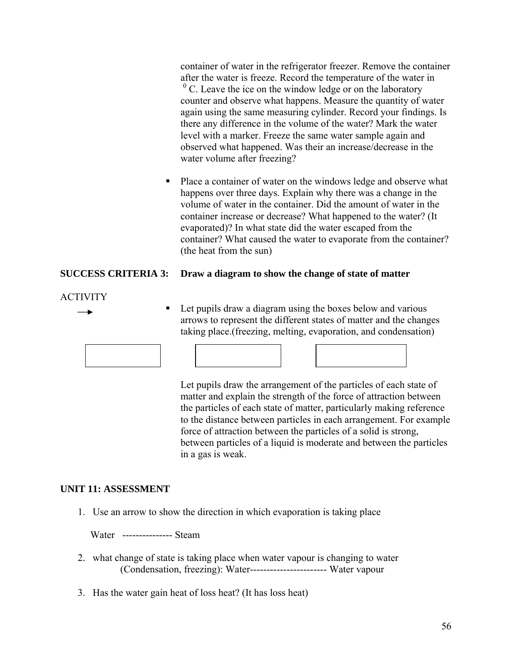container of water in the refrigerator freezer. Remove the container after the water is freeze. Record the temperature of the water in  $\rm^{0}$  C. Leave the ice on the window ledge or on the laboratory counter and observe what happens. Measure the quantity of water again using the same measuring cylinder. Record your findings. Is there any difference in the volume of the water? Mark the water level with a marker. Freeze the same water sample again and observed what happened. Was their an increase/decrease in the water volume after freezing?

• Place a container of water on the windows ledge and observe what happens over three days. Explain why there was a change in the volume of water in the container. Did the amount of water in the container increase or decrease? What happened to the water? (It evaporated)? In what state did the water escaped from the container? What caused the water to evaporate from the container? (the heat from the sun)

# **SUCCESS CRITERIA 3: Draw a diagram to show the change of state of matter**

# ACTIVITY

 $\overline{\phantom{0}}$ 

■ Let pupils draw a diagram using the boxes below and various arrows to represent the different states of matter and the changes taking place.(freezing, melting, evaporation, and condensation)

 Let pupils draw the arrangement of the particles of each state of matter and explain the strength of the force of attraction between the particles of each state of matter, particularly making reference to the distance between particles in each arrangement. For example force of attraction between the particles of a solid is strong, between particles of a liquid is moderate and between the particles in a gas is weak.

# **UNIT 11: ASSESSMENT**

1. Use an arrow to show the direction in which evaporation is taking place

Water --------------- Steam

- 2. what change of state is taking place when water vapour is changing to water (Condensation, freezing): Water----------------------- Water vapour
- 3. Has the water gain heat of loss heat? (It has loss heat)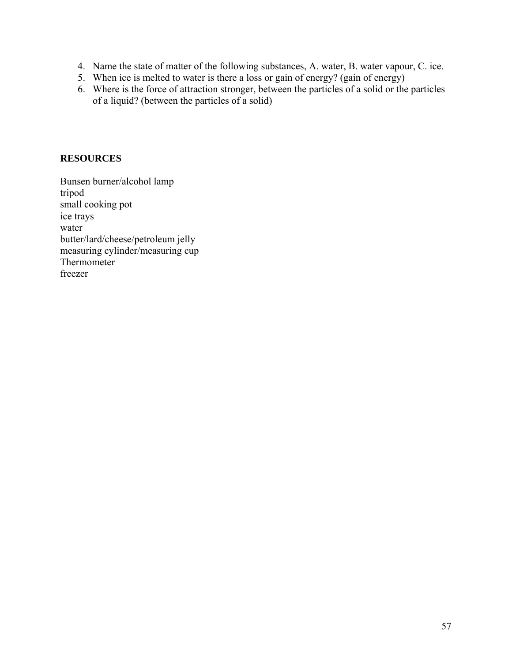- 4. Name the state of matter of the following substances, A. water, B. water vapour, C. ice.
- 5. When ice is melted to water is there a loss or gain of energy? (gain of energy)
- 6. Where is the force of attraction stronger, between the particles of a solid or the particles of a liquid? (between the particles of a solid)

# **RESOURCES**

Bunsen burner/alcohol lamp tripod small cooking pot ice trays water butter/lard/cheese/petroleum jelly measuring cylinder/measuring cup Thermometer freezer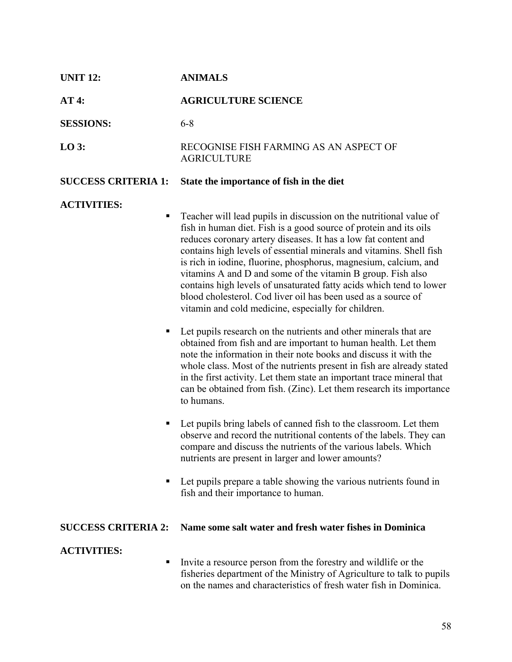| <b>UNIT 12:</b>            | <b>ANIMALS</b>                                                                                                                                                                                                                                                                                                                                                                                                                                                                                                                                                                                                                                                                                                                                                                                                                                                                                                                                                                                                                                                                                                                                                                                                                                                                                                                                                                                                                                      |  |
|----------------------------|-----------------------------------------------------------------------------------------------------------------------------------------------------------------------------------------------------------------------------------------------------------------------------------------------------------------------------------------------------------------------------------------------------------------------------------------------------------------------------------------------------------------------------------------------------------------------------------------------------------------------------------------------------------------------------------------------------------------------------------------------------------------------------------------------------------------------------------------------------------------------------------------------------------------------------------------------------------------------------------------------------------------------------------------------------------------------------------------------------------------------------------------------------------------------------------------------------------------------------------------------------------------------------------------------------------------------------------------------------------------------------------------------------------------------------------------------------|--|
| AT4:                       | <b>AGRICULTURE SCIENCE</b>                                                                                                                                                                                                                                                                                                                                                                                                                                                                                                                                                                                                                                                                                                                                                                                                                                                                                                                                                                                                                                                                                                                                                                                                                                                                                                                                                                                                                          |  |
| <b>SESSIONS:</b>           | $6 - 8$                                                                                                                                                                                                                                                                                                                                                                                                                                                                                                                                                                                                                                                                                                                                                                                                                                                                                                                                                                                                                                                                                                                                                                                                                                                                                                                                                                                                                                             |  |
| $LO$ 3:                    | RECOGNISE FISH FARMING AS AN ASPECT OF<br><b>AGRICULTURE</b>                                                                                                                                                                                                                                                                                                                                                                                                                                                                                                                                                                                                                                                                                                                                                                                                                                                                                                                                                                                                                                                                                                                                                                                                                                                                                                                                                                                        |  |
| <b>SUCCESS CRITERIA 1:</b> | State the importance of fish in the diet                                                                                                                                                                                                                                                                                                                                                                                                                                                                                                                                                                                                                                                                                                                                                                                                                                                                                                                                                                                                                                                                                                                                                                                                                                                                                                                                                                                                            |  |
| <b>ACTIVITIES:</b>         | Teacher will lead pupils in discussion on the nutritional value of<br>fish in human diet. Fish is a good source of protein and its oils<br>reduces coronary artery diseases. It has a low fat content and<br>contains high levels of essential minerals and vitamins. Shell fish<br>is rich in iodine, fluorine, phosphorus, magnesium, calcium, and<br>vitamins A and D and some of the vitamin B group. Fish also<br>contains high levels of unsaturated fatty acids which tend to lower<br>blood cholesterol. Cod liver oil has been used as a source of<br>vitamin and cold medicine, especially for children.<br>Let pupils research on the nutrients and other minerals that are<br>obtained from fish and are important to human health. Let them<br>note the information in their note books and discuss it with the<br>whole class. Most of the nutrients present in fish are already stated<br>in the first activity. Let them state an important trace mineral that<br>can be obtained from fish. (Zinc). Let them research its importance<br>to humans.<br>Let pupils bring labels of canned fish to the classroom. Let them<br>observe and record the nutritional contents of the labels. They can<br>compare and discuss the nutrients of the various labels. Which<br>nutrients are present in larger and lower amounts?<br>Let pupils prepare a table showing the various nutrients found in<br>fish and their importance to human. |  |
| <b>SUCCESS CRITERIA 2:</b> | Name some salt water and fresh water fishes in Dominica                                                                                                                                                                                                                                                                                                                                                                                                                                                                                                                                                                                                                                                                                                                                                                                                                                                                                                                                                                                                                                                                                                                                                                                                                                                                                                                                                                                             |  |
| <b>ACTIVITIES:</b>         | Invite a resource person from the forestry and wildlife or the<br>fisheries department of the Ministry of Agriculture to talk to pupils<br>on the names and characteristics of fresh water fish in Dominica.                                                                                                                                                                                                                                                                                                                                                                                                                                                                                                                                                                                                                                                                                                                                                                                                                                                                                                                                                                                                                                                                                                                                                                                                                                        |  |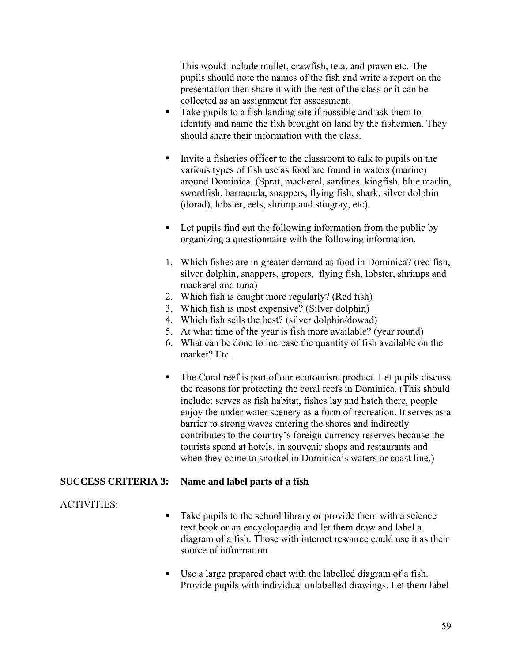This would include mullet, crawfish, teta, and prawn etc. The pupils should note the names of the fish and write a report on the presentation then share it with the rest of the class or it can be collected as an assignment for assessment.

- Take pupils to a fish landing site if possible and ask them to identify and name the fish brought on land by the fishermen. They should share their information with the class.
- Invite a fisheries officer to the classroom to talk to pupils on the various types of fish use as food are found in waters (marine) around Dominica. (Sprat, mackerel, sardines, kingfish, blue marlin, swordfish, barracuda, snappers, flying fish, shark, silver dolphin (dorad), lobster, eels, shrimp and stingray, etc).
- Let pupils find out the following information from the public by organizing a questionnaire with the following information.
- 1. Which fishes are in greater demand as food in Dominica? (red fish, silver dolphin, snappers, gropers, flying fish, lobster, shrimps and mackerel and tuna)
- 2. Which fish is caught more regularly? (Red fish)
- 3. Which fish is most expensive? (Silver dolphin)
- 4. Which fish sells the best? (silver dolphin/dowad)
- 5. At what time of the year is fish more available? (year round)
- 6. What can be done to increase the quantity of fish available on the market? Etc.
- The Coral reef is part of our ecotourism product. Let pupils discuss the reasons for protecting the coral reefs in Dominica. (This should include; serves as fish habitat, fishes lay and hatch there, people enjoy the under water scenery as a form of recreation. It serves as a barrier to strong waves entering the shores and indirectly contributes to the country's foreign currency reserves because the tourists spend at hotels, in souvenir shops and restaurants and when they come to snorkel in Dominica's waters or coast line.)

# **SUCCESS CRITERIA 3: Name and label parts of a fish**

# ACTIVITIES:

- Take pupils to the school library or provide them with a science text book or an encyclopaedia and let them draw and label a diagram of a fish. Those with internet resource could use it as their source of information.
- Use a large prepared chart with the labelled diagram of a fish. Provide pupils with individual unlabelled drawings. Let them label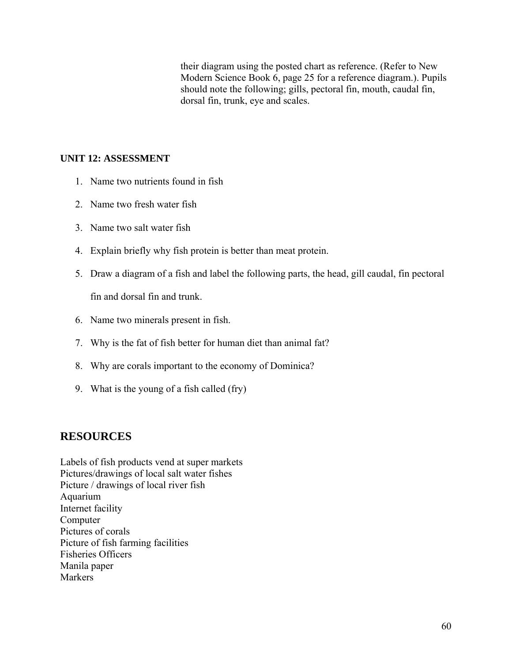their diagram using the posted chart as reference. (Refer to New Modern Science Book 6, page 25 for a reference diagram.). Pupils should note the following; gills, pectoral fin, mouth, caudal fin, dorsal fin, trunk, eye and scales.

# **UNIT 12: ASSESSMENT**

- 1. Name two nutrients found in fish
- 2. Name two fresh water fish
- 3. Name two salt water fish
- 4. Explain briefly why fish protein is better than meat protein.
- 5. Draw a diagram of a fish and label the following parts, the head, gill caudal, fin pectoral fin and dorsal fin and trunk.
- 6. Name two minerals present in fish.
- 7. Why is the fat of fish better for human diet than animal fat?
- 8. Why are corals important to the economy of Dominica?
- 9. What is the young of a fish called (fry)

# **RESOURCES**

Labels of fish products vend at super markets Pictures/drawings of local salt water fishes Picture / drawings of local river fish Aquarium Internet facility Computer Pictures of corals Picture of fish farming facilities Fisheries Officers Manila paper Markers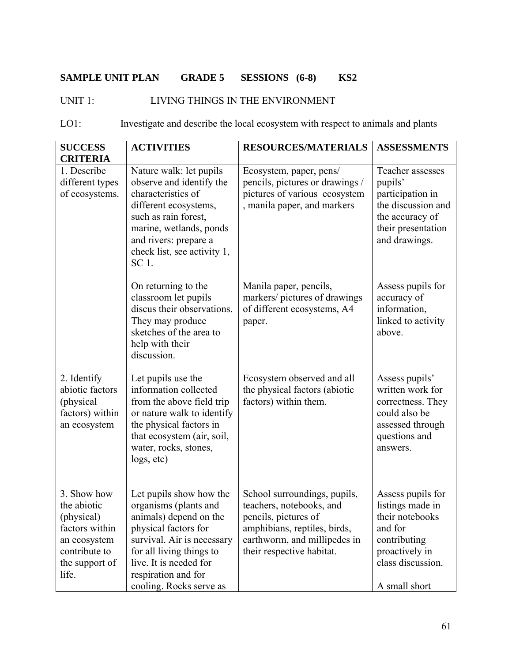# **SAMPLE UNIT PLAN GRADE 5 SESSIONS (6-8) KS2**

# UNIT 1: LIVING THINGS IN THE ENVIRONMENT

| $LO1$ :<br>Investigate and describe the local ecosystem with respect to animals and plants |  |
|--------------------------------------------------------------------------------------------|--|
|--------------------------------------------------------------------------------------------|--|

| <b>SUCCESS</b>                                                                                                         | <b>ACTIVITIES</b>                                                                                                                                                                                                                        | <b>RESOURCES/MATERIALS</b>                                                                                                                                                    | <b>ASSESSMENTS</b>                                                                                                                          |
|------------------------------------------------------------------------------------------------------------------------|------------------------------------------------------------------------------------------------------------------------------------------------------------------------------------------------------------------------------------------|-------------------------------------------------------------------------------------------------------------------------------------------------------------------------------|---------------------------------------------------------------------------------------------------------------------------------------------|
| <b>CRITERIA</b>                                                                                                        |                                                                                                                                                                                                                                          |                                                                                                                                                                               |                                                                                                                                             |
| 1. Describe<br>different types<br>of ecosystems.                                                                       | Nature walk: let pupils<br>observe and identify the<br>characteristics of<br>different ecosystems,<br>such as rain forest,<br>marine, wetlands, ponds<br>and rivers: prepare a<br>check list, see activity 1,<br>SC 1.                   | Ecosystem, paper, pens/<br>pencils, pictures or drawings /<br>pictures of various ecosystem<br>, manila paper, and markers                                                    | Teacher assesses<br>pupils'<br>participation in<br>the discussion and<br>the accuracy of<br>their presentation<br>and drawings.             |
|                                                                                                                        | On returning to the<br>classroom let pupils<br>discus their observations.<br>They may produce<br>sketches of the area to<br>help with their<br>discussion.                                                                               | Manila paper, pencils,<br>markers/ pictures of drawings<br>of different ecosystems, A4<br>paper.                                                                              | Assess pupils for<br>accuracy of<br>information,<br>linked to activity<br>above.                                                            |
| 2. Identify<br>abiotic factors<br>(physical<br>factors) within<br>an ecosystem                                         | Let pupils use the<br>information collected<br>from the above field trip<br>or nature walk to identify<br>the physical factors in<br>that ecosystem (air, soil,<br>water, rocks, stones,<br>logs, etc)                                   | Ecosystem observed and all<br>the physical factors (abiotic<br>factors) within them.                                                                                          | Assess pupils'<br>written work for<br>correctness. They<br>could also be<br>assessed through<br>questions and<br>answers.                   |
| 3. Show how<br>the abiotic<br>(physical)<br>factors within<br>an ecosystem<br>contribute to<br>the support of<br>life. | Let pupils show how the<br>organisms (plants and<br>animals) depend on the<br>physical factors for<br>survival. Air is necessary<br>for all living things to<br>live. It is needed for<br>respiration and for<br>cooling. Rocks serve as | School surroundings, pupils,<br>teachers, notebooks, and<br>pencils, pictures of<br>amphibians, reptiles, birds,<br>earthworm, and millipedes in<br>their respective habitat. | Assess pupils for<br>listings made in<br>their notebooks<br>and for<br>contributing<br>proactively in<br>class discussion.<br>A small short |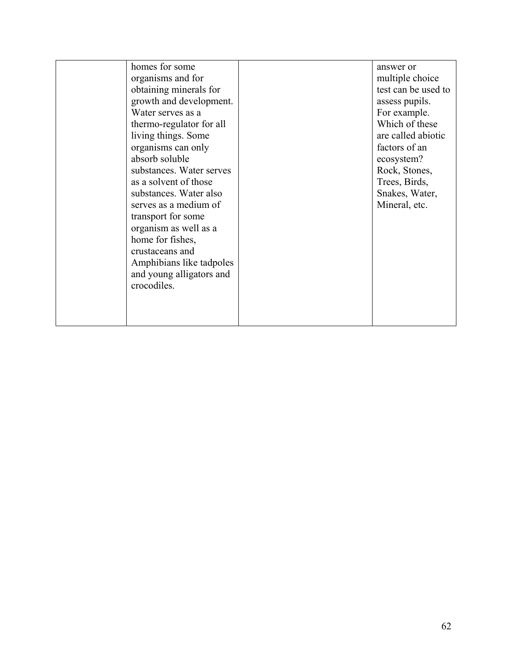| homes for some           | answer or           |
|--------------------------|---------------------|
| organisms and for        | multiple choice     |
| obtaining minerals for   | test can be used to |
| growth and development.  | assess pupils.      |
| Water serves as a        | For example.        |
| thermo-regulator for all | Which of these      |
| living things. Some      | are called abiotic  |
| organisms can only       | factors of an       |
| absorb soluble           | ecosystem?          |
| substances. Water serves | Rock, Stones,       |
| as a solvent of those    | Trees, Birds,       |
| substances. Water also   | Snakes, Water,      |
| serves as a medium of    | Mineral, etc.       |
| transport for some       |                     |
| organism as well as a    |                     |
| home for fishes,         |                     |
| crustaceans and          |                     |
| Amphibians like tadpoles |                     |
| and young alligators and |                     |
| crocodiles.              |                     |
|                          |                     |
|                          |                     |
|                          |                     |